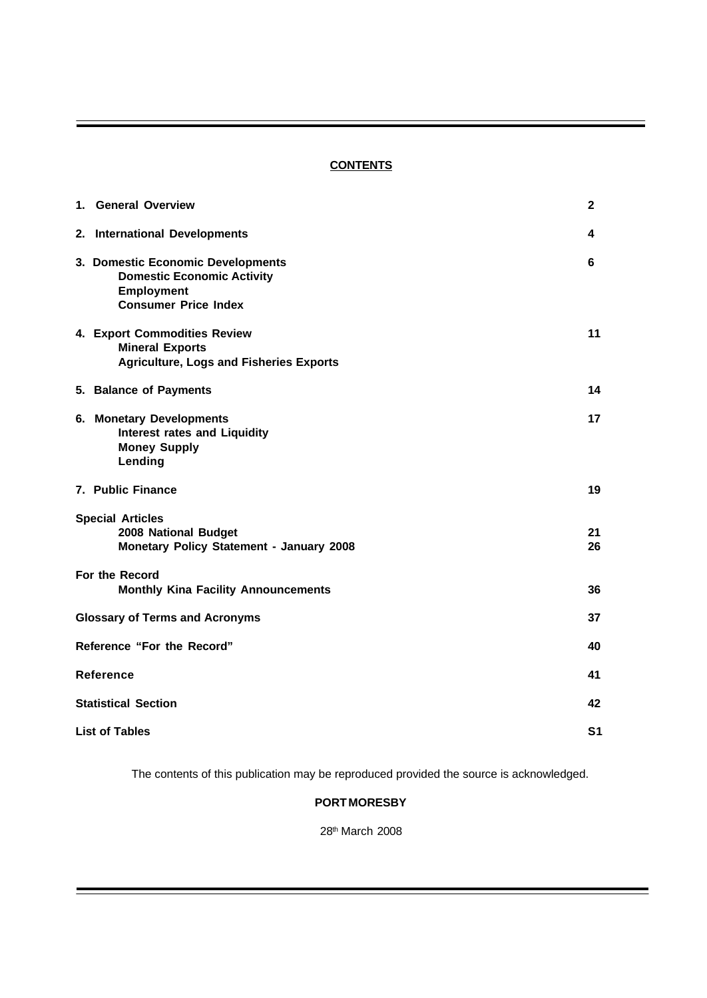# **CONTENTS**

| 1. General Overview                                                                                                        | $\mathbf{2}$ |  |  |  |
|----------------------------------------------------------------------------------------------------------------------------|--------------|--|--|--|
| 2. International Developments                                                                                              | 4            |  |  |  |
| 3. Domestic Economic Developments<br><b>Domestic Economic Activity</b><br><b>Employment</b><br><b>Consumer Price Index</b> | 6            |  |  |  |
| 4. Export Commodities Review<br><b>Mineral Exports</b><br><b>Agriculture, Logs and Fisheries Exports</b>                   | 11           |  |  |  |
| 5. Balance of Payments                                                                                                     | 14           |  |  |  |
| 6. Monetary Developments<br><b>Interest rates and Liquidity</b><br><b>Money Supply</b><br>Lending                          | 17           |  |  |  |
| 7. Public Finance                                                                                                          | 19           |  |  |  |
| <b>Special Articles</b><br>2008 National Budget<br>Monetary Policy Statement - January 2008                                | 21<br>26     |  |  |  |
| For the Record<br><b>Monthly Kina Facility Announcements</b>                                                               | 36           |  |  |  |
| <b>Glossary of Terms and Acronyms</b>                                                                                      | 37           |  |  |  |
| Reference "For the Record"                                                                                                 |              |  |  |  |
| <b>Reference</b>                                                                                                           |              |  |  |  |
| <b>Statistical Section</b>                                                                                                 |              |  |  |  |
| <b>List of Tables</b>                                                                                                      |              |  |  |  |

The contents of this publication may be reproduced provided the source is acknowledged.

# **PORT MORESBY**

28th March 2008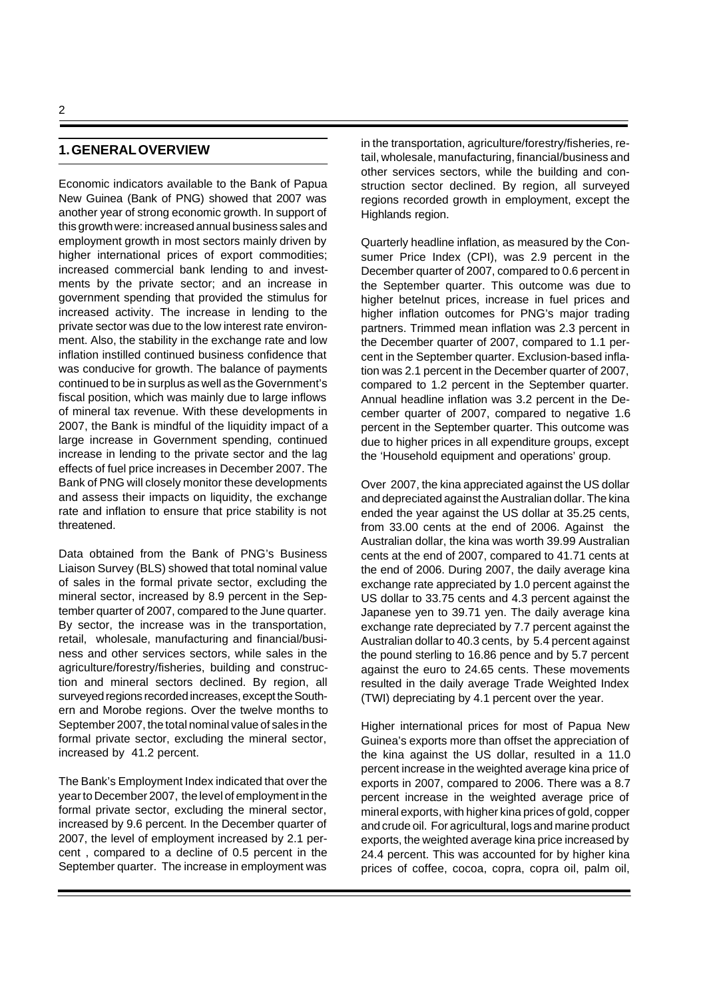## **1. GENERAL OVERVIEW**

Economic indicators available to the Bank of Papua New Guinea (Bank of PNG) showed that 2007 was another year of strong economic growth. In support of this growth were: increased annual business sales and employment growth in most sectors mainly driven by higher international prices of export commodities; increased commercial bank lending to and investments by the private sector; and an increase in government spending that provided the stimulus for increased activity. The increase in lending to the private sector was due to the low interest rate environment. Also, the stability in the exchange rate and low inflation instilled continued business confidence that was conducive for growth. The balance of payments continued to be in surplus as well as the Government's fiscal position, which was mainly due to large inflows of mineral tax revenue. With these developments in 2007, the Bank is mindful of the liquidity impact of a large increase in Government spending, continued increase in lending to the private sector and the lag effects of fuel price increases in December 2007. The Bank of PNG will closely monitor these developments and assess their impacts on liquidity, the exchange rate and inflation to ensure that price stability is not threatened.

Data obtained from the Bank of PNG's Business Liaison Survey (BLS) showed that total nominal value of sales in the formal private sector, excluding the mineral sector, increased by 8.9 percent in the September quarter of 2007, compared to the June quarter. By sector, the increase was in the transportation, retail, wholesale, manufacturing and financial/business and other services sectors, while sales in the agriculture/forestry/fisheries, building and construction and mineral sectors declined. By region, all surveyed regions recorded increases, except the Southern and Morobe regions. Over the twelve months to September 2007, the total nominal value of sales in the formal private sector, excluding the mineral sector, increased by 41.2 percent.

The Bank's Employment Index indicated that over the year to December 2007, the level of employment in the formal private sector, excluding the mineral sector, increased by 9.6 percent. In the December quarter of 2007, the level of employment increased by 2.1 percent , compared to a decline of 0.5 percent in the September quarter. The increase in employment was in the transportation, agriculture/forestry/fisheries, retail, wholesale, manufacturing, financial/business and other services sectors, while the building and construction sector declined. By region, all surveyed regions recorded growth in employment, except the Highlands region.

Quarterly headline inflation, as measured by the Consumer Price Index (CPI), was 2.9 percent in the December quarter of 2007, compared to 0.6 percent in the September quarter. This outcome was due to higher betelnut prices, increase in fuel prices and higher inflation outcomes for PNG's major trading partners. Trimmed mean inflation was 2.3 percent in the December quarter of 2007, compared to 1.1 percent in the September quarter. Exclusion-based inflation was 2.1 percent in the December quarter of 2007, compared to 1.2 percent in the September quarter. Annual headline inflation was 3.2 percent in the December quarter of 2007, compared to negative 1.6 percent in the September quarter. This outcome was due to higher prices in all expenditure groups, except the 'Household equipment and operations' group.

Over 2007, the kina appreciated against the US dollar and depreciated against the Australian dollar. The kina ended the year against the US dollar at 35.25 cents, from 33.00 cents at the end of 2006. Against the Australian dollar, the kina was worth 39.99 Australian cents at the end of 2007, compared to 41.71 cents at the end of 2006. During 2007, the daily average kina exchange rate appreciated by 1.0 percent against the US dollar to 33.75 cents and 4.3 percent against the Japanese yen to 39.71 yen. The daily average kina exchange rate depreciated by 7.7 percent against the Australian dollar to 40.3 cents, by 5.4 percent against the pound sterling to 16.86 pence and by 5.7 percent against the euro to 24.65 cents. These movements resulted in the daily average Trade Weighted Index (TWI) depreciating by 4.1 percent over the year.

Higher international prices for most of Papua New Guinea's exports more than offset the appreciation of the kina against the US dollar, resulted in a 11.0 percent increase in the weighted average kina price of exports in 2007, compared to 2006. There was a 8.7 percent increase in the weighted average price of mineral exports, with higher kina prices of gold, copper and crude oil. For agricultural, logs and marine product exports, the weighted average kina price increased by 24.4 percent. This was accounted for by higher kina prices of coffee, cocoa, copra, copra oil, palm oil,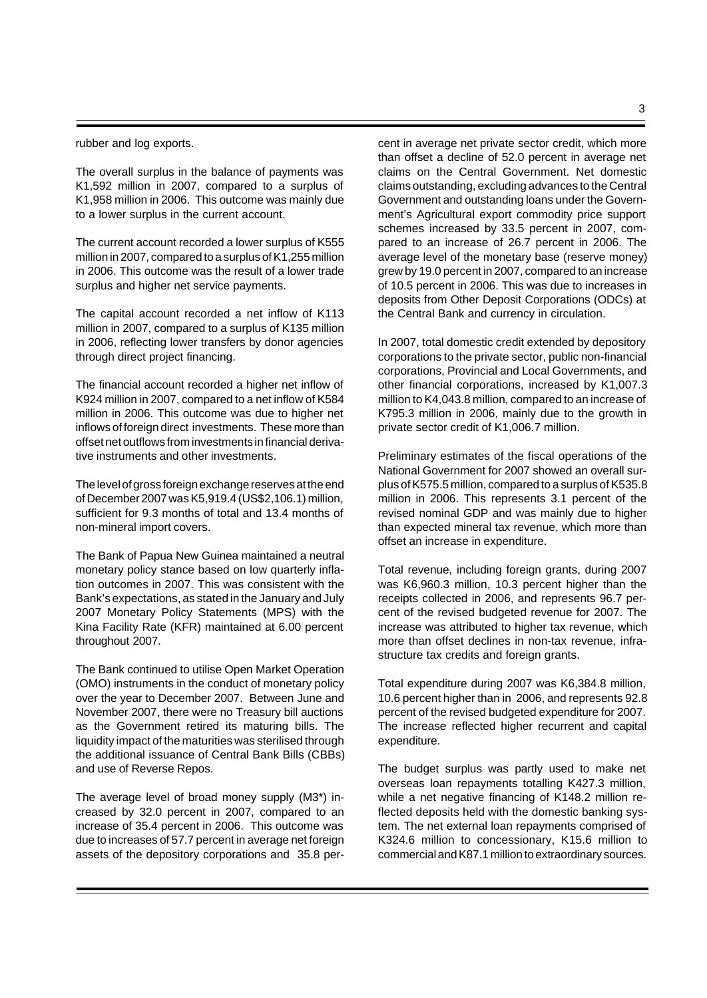### rubber and log exports.

The overall surplus in the balance of payments was K1,592 million in 2007, compared to a surplus of K1,958 million in 2006. This outcome was mainly due to a lower surplus in the current account.

The current account recorded a lower surplus of K555 million in 2007, compared to a surplus of K1,255 million in 2006. This outcome was the result of a lower trade surplus and higher net service payments.

The capital account recorded a net inflow of K113 million in 2007, compared to a surplus of K135 million in 2006, reflecting lower transfers by donor agencies through direct project financing.

The financial account recorded a higher net inflow of K924 million in 2007, compared to a net inflow of K584 million in 2006. This outcome was due to higher net inflows of foreign direct investments. These more than offset net outflows from investments in financial derivative instruments and other investments.

The level of gross foreign exchange reserves at the end of December 2007 was K5,919.4 (US\$2,106.1) million, sufficient for 9.3 months of total and 13.4 months of non-mineral import covers.

The Bank of Papua New Guinea maintained a neutral monetary policy stance based on low quarterly inflation outcomes in 2007. This was consistent with the Bank's expectations, as stated in the January and July 2007 Monetary Policy Statements (MPS) with the Kina Facility Rate (KFR) maintained at 6.00 percent throughout 2007.

The Bank continued to utilise Open Market Operation (OMO) instruments in the conduct of monetary policy over the year to December 2007. Between June and November 2007, there were no Treasury bill auctions as the Government retired its maturing bills. The liquidity impact of the maturities was sterilised through the additional issuance of Central Bank Bills (CBBs) and use of Reverse Repos.

The average level of broad money supply (M3\*) increased by 32.0 percent in 2007, compared to an increase of 35.4 percent in 2006. This outcome was due to increases of 57.7 percent in average net foreign assets of the depository corporations and 35.8 percent in average net private sector credit, which more than offset a decline of 52.0 percent in average net claims on the Central Government. Net domestic claims outstanding, excluding advances to the Central Government and outstanding loans under the Government's Agricultural export commodity price support schemes increased by 33.5 percent in 2007, compared to an increase of 26.7 percent in 2006. The average level of the monetary base (reserve money) grew by 19.0 percent in 2007, compared to an increase of 10.5 percent in 2006. This was due to increases in deposits from Other Deposit Corporations (ODCs) at the Central Bank and currency in circulation.

In 2007, total domestic credit extended by depository corporations to the private sector, public non-financial corporations, Provincial and Local Governments, and other financial corporations, increased by K1,007.3 million to K4,043.8 million, compared to an increase of K795.3 million in 2006, mainly due to the growth in private sector credit of K1,006.7 million.

Preliminary estimates of the fiscal operations of the National Government for 2007 showed an overall surplus of K575.5 million, compared to a surplus of K535.8 million in 2006. This represents 3.1 percent of the revised nominal GDP and was mainly due to higher than expected mineral tax revenue, which more than offset an increase in expenditure.

Total revenue, including foreign grants, during 2007 was K6,960.3 million, 10.3 percent higher than the receipts collected in 2006, and represents 96.7 percent of the revised budgeted revenue for 2007. The increase was attributed to higher tax revenue, which more than offset declines in non-tax revenue, infrastructure tax credits and foreign grants.

Total expenditure during 2007 was K6,384.8 million, 10.6 percent higher than in 2006, and represents 92.8 percent of the revised budgeted expenditure for 2007. The increase reflected higher recurrent and capital expenditure.

The budget surplus was partly used to make net overseas loan repayments totalling K427.3 million, while a net negative financing of K148.2 million reflected deposits held with the domestic banking system. The net external loan repayments comprised of K324.6 million to concessionary, K15.6 million to commercial and K87.1 million to extraordinary sources.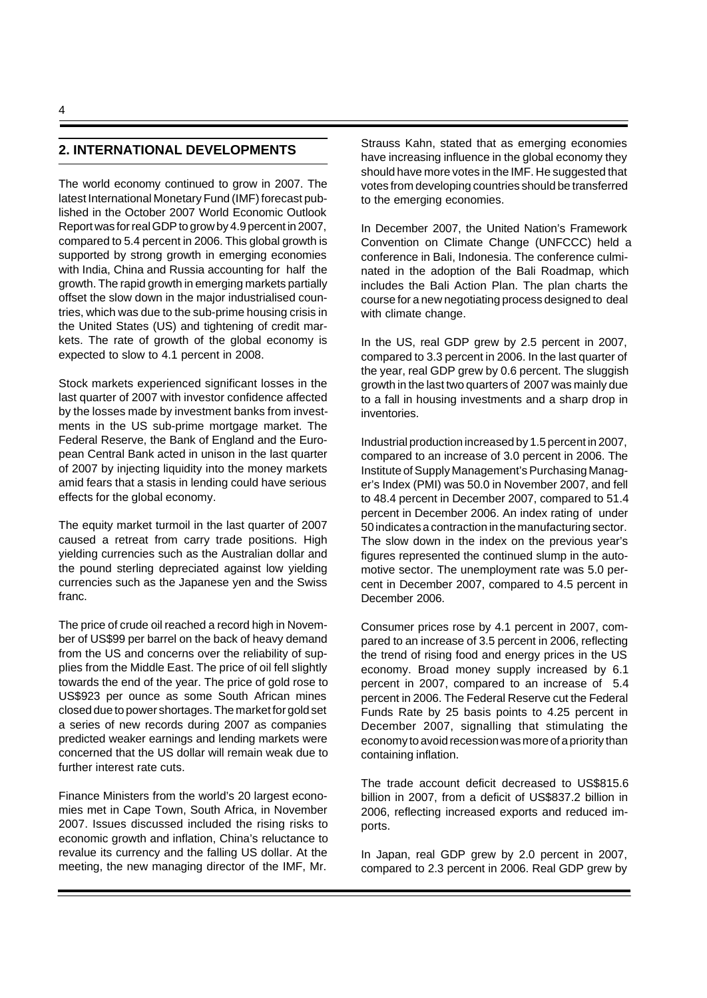# **2. INTERNATIONAL DEVELOPMENTS**

The world economy continued to grow in 2007. The latest International Monetary Fund (IMF) forecast published in the October 2007 World Economic Outlook Report was for real GDP to grow by 4.9 percent in 2007, compared to 5.4 percent in 2006. This global growth is supported by strong growth in emerging economies with India, China and Russia accounting for half the growth. The rapid growth in emerging markets partially offset the slow down in the major industrialised countries, which was due to the sub-prime housing crisis in the United States (US) and tightening of credit markets. The rate of growth of the global economy is expected to slow to 4.1 percent in 2008.

Stock markets experienced significant losses in the last quarter of 2007 with investor confidence affected by the losses made by investment banks from investments in the US sub-prime mortgage market. The Federal Reserve, the Bank of England and the European Central Bank acted in unison in the last quarter of 2007 by injecting liquidity into the money markets amid fears that a stasis in lending could have serious effects for the global economy.

The equity market turmoil in the last quarter of 2007 caused a retreat from carry trade positions. High yielding currencies such as the Australian dollar and the pound sterling depreciated against low yielding currencies such as the Japanese yen and the Swiss franc.

The price of crude oil reached a record high in November of US\$99 per barrel on the back of heavy demand from the US and concerns over the reliability of supplies from the Middle East. The price of oil fell slightly towards the end of the year. The price of gold rose to US\$923 per ounce as some South African mines closed due to power shortages. The market for gold set a series of new records during 2007 as companies predicted weaker earnings and lending markets were concerned that the US dollar will remain weak due to further interest rate cuts.

Finance Ministers from the world's 20 largest economies met in Cape Town, South Africa, in November 2007. Issues discussed included the rising risks to economic growth and inflation, China's reluctance to revalue its currency and the falling US dollar. At the meeting, the new managing director of the IMF, Mr.

Strauss Kahn, stated that as emerging economies have increasing influence in the global economy they should have more votes in the IMF. He suggested that votes from developing countries should be transferred to the emerging economies.

In December 2007, the United Nation's Framework Convention on Climate Change (UNFCCC) held a conference in Bali, Indonesia. The conference culminated in the adoption of the Bali Roadmap, which includes the Bali Action Plan. The plan charts the course for a new negotiating process designed to deal with climate change.

In the US, real GDP grew by 2.5 percent in 2007, compared to 3.3 percent in 2006. In the last quarter of the year, real GDP grew by 0.6 percent. The sluggish growth in the last two quarters of 2007 was mainly due to a fall in housing investments and a sharp drop in inventories.

Industrial production increased by 1.5 percent in 2007, compared to an increase of 3.0 percent in 2006. The Institute of Supply Management's Purchasing Manager's Index (PMI) was 50.0 in November 2007, and fell to 48.4 percent in December 2007, compared to 51.4 percent in December 2006. An index rating of under 50 indicates a contraction in the manufacturing sector. The slow down in the index on the previous year's figures represented the continued slump in the automotive sector. The unemployment rate was 5.0 percent in December 2007, compared to 4.5 percent in December 2006.

Consumer prices rose by 4.1 percent in 2007, compared to an increase of 3.5 percent in 2006, reflecting the trend of rising food and energy prices in the US economy. Broad money supply increased by 6.1 percent in 2007, compared to an increase of 5.4 percent in 2006. The Federal Reserve cut the Federal Funds Rate by 25 basis points to 4.25 percent in December 2007, signalling that stimulating the economy to avoid recession was more of a priority than containing inflation.

The trade account deficit decreased to US\$815.6 billion in 2007, from a deficit of US\$837.2 billion in 2006, reflecting increased exports and reduced imports.

In Japan, real GDP grew by 2.0 percent in 2007, compared to 2.3 percent in 2006. Real GDP grew by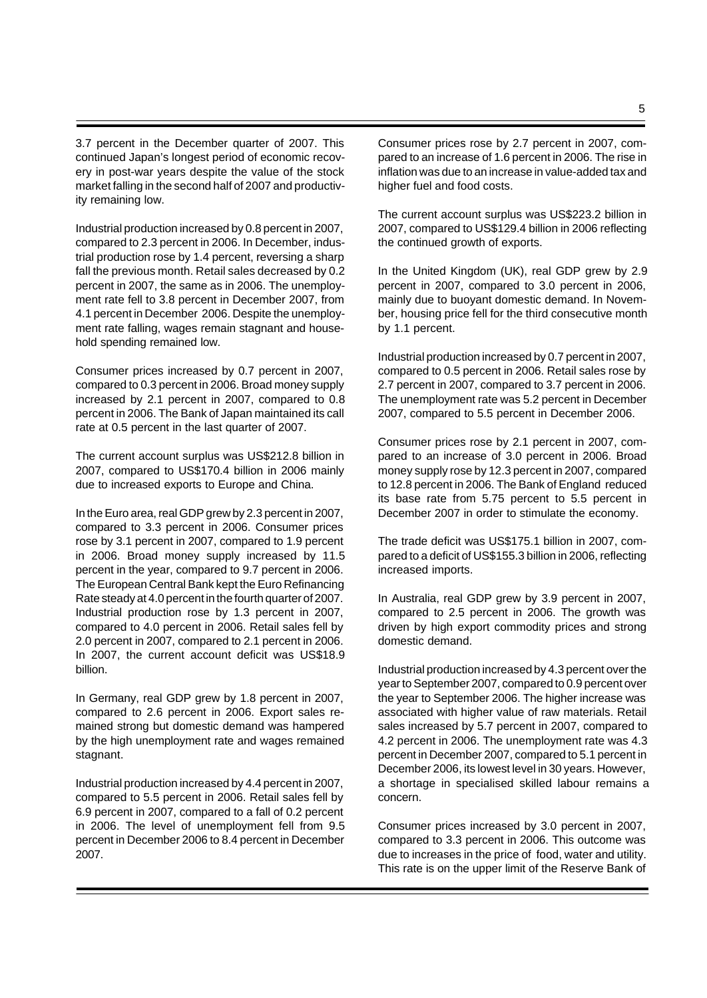3.7 percent in the December quarter of 2007. This continued Japan's longest period of economic recovery in post-war years despite the value of the stock market falling in the second half of 2007 and productivity remaining low.

Industrial production increased by 0.8 percent in 2007, compared to 2.3 percent in 2006. In December, industrial production rose by 1.4 percent, reversing a sharp fall the previous month. Retail sales decreased by 0.2 percent in 2007, the same as in 2006. The unemployment rate fell to 3.8 percent in December 2007, from 4.1 percent in December 2006. Despite the unemployment rate falling, wages remain stagnant and household spending remained low.

Consumer prices increased by 0.7 percent in 2007, compared to 0.3 percent in 2006. Broad money supply increased by 2.1 percent in 2007, compared to 0.8 percent in 2006. The Bank of Japan maintained its call rate at 0.5 percent in the last quarter of 2007.

The current account surplus was US\$212.8 billion in 2007, compared to US\$170.4 billion in 2006 mainly due to increased exports to Europe and China.

In the Euro area, real GDP grew by 2.3 percent in 2007, compared to 3.3 percent in 2006. Consumer prices rose by 3.1 percent in 2007, compared to 1.9 percent in 2006. Broad money supply increased by 11.5 percent in the year, compared to 9.7 percent in 2006. The European Central Bank kept the Euro Refinancing Rate steady at 4.0 percent in the fourth quarter of 2007. Industrial production rose by 1.3 percent in 2007, compared to 4.0 percent in 2006. Retail sales fell by 2.0 percent in 2007, compared to 2.1 percent in 2006. In 2007, the current account deficit was US\$18.9 billion.

In Germany, real GDP grew by 1.8 percent in 2007, compared to 2.6 percent in 2006. Export sales remained strong but domestic demand was hampered by the high unemployment rate and wages remained stagnant.

Industrial production increased by 4.4 percent in 2007, compared to 5.5 percent in 2006. Retail sales fell by 6.9 percent in 2007, compared to a fall of 0.2 percent in 2006. The level of unemployment fell from 9.5 percent in December 2006 to 8.4 percent in December 2007.

Consumer prices rose by 2.7 percent in 2007, compared to an increase of 1.6 percent in 2006. The rise in inflation was due to an increase in value-added tax and higher fuel and food costs.

The current account surplus was US\$223.2 billion in 2007, compared to US\$129.4 billion in 2006 reflecting the continued growth of exports.

In the United Kingdom (UK), real GDP grew by 2.9 percent in 2007, compared to 3.0 percent in 2006, mainly due to buoyant domestic demand. In November, housing price fell for the third consecutive month by 1.1 percent.

Industrial production increased by 0.7 percent in 2007, compared to 0.5 percent in 2006. Retail sales rose by 2.7 percent in 2007, compared to 3.7 percent in 2006. The unemployment rate was 5.2 percent in December 2007, compared to 5.5 percent in December 2006.

Consumer prices rose by 2.1 percent in 2007, compared to an increase of 3.0 percent in 2006. Broad money supply rose by 12.3 percent in 2007, compared to 12.8 percent in 2006. The Bank of England reduced its base rate from 5.75 percent to 5.5 percent in December 2007 in order to stimulate the economy.

The trade deficit was US\$175.1 billion in 2007, compared to a deficit of US\$155.3 billion in 2006, reflecting increased imports.

In Australia, real GDP grew by 3.9 percent in 2007, compared to 2.5 percent in 2006. The growth was driven by high export commodity prices and strong domestic demand.

Industrial production increased by 4.3 percent over the year to September 2007, compared to 0.9 percent over the year to September 2006. The higher increase was associated with higher value of raw materials. Retail sales increased by 5.7 percent in 2007, compared to 4.2 percent in 2006. The unemployment rate was 4.3 percent in December 2007, compared to 5.1 percent in December 2006, its lowest level in 30 years. However, a shortage in specialised skilled labour remains a concern.

Consumer prices increased by 3.0 percent in 2007, compared to 3.3 percent in 2006. This outcome was due to increases in the price of food, water and utility. This rate is on the upper limit of the Reserve Bank of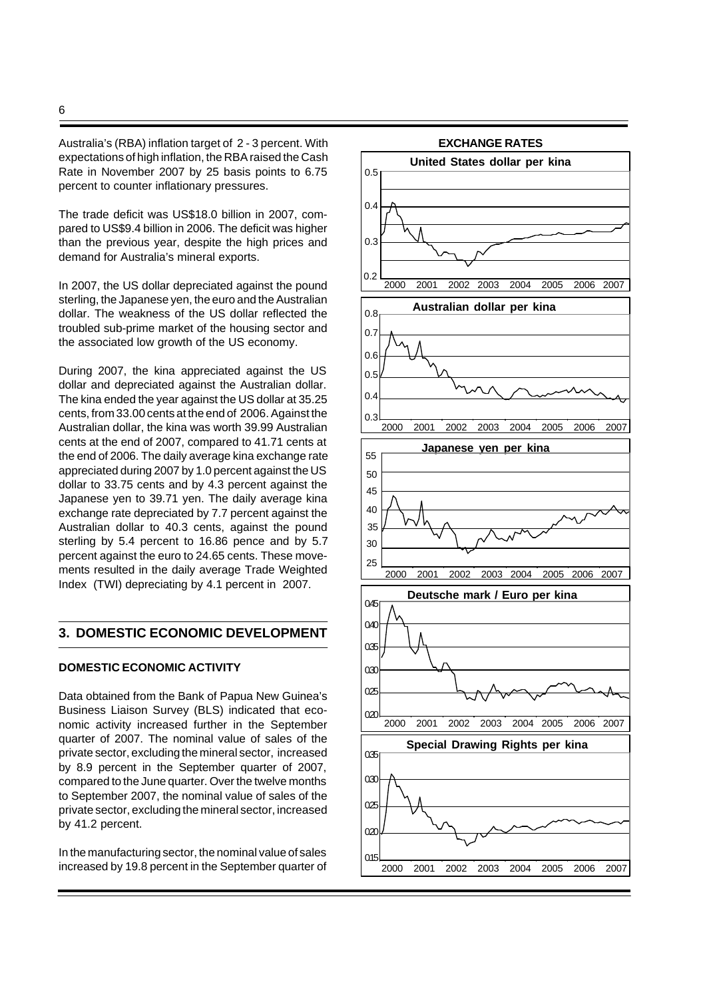Australia's (RBA) inflation target of 2 - 3 percent. With expectations of high inflation, the RBA raised the Cash Rate in November 2007 by 25 basis points to 6.75 percent to counter inflationary pressures.

The trade deficit was US\$18.0 billion in 2007, compared to US\$9.4 billion in 2006. The deficit was higher than the previous year, despite the high prices and demand for Australia's mineral exports.

In 2007, the US dollar depreciated against the pound sterling, the Japanese yen, the euro and the Australian dollar. The weakness of the US dollar reflected the troubled sub-prime market of the housing sector and the associated low growth of the US economy.

During 2007, the kina appreciated against the US dollar and depreciated against the Australian dollar. The kina ended the year against the US dollar at 35.25 cents, from 33.00 cents at the end of 2006. Against the Australian dollar, the kina was worth 39.99 Australian cents at the end of 2007, compared to 41.71 cents at the end of 2006. The daily average kina exchange rate appreciated during 2007 by 1.0 percent against the US dollar to 33.75 cents and by 4.3 percent against the Japanese yen to 39.71 yen. The daily average kina exchange rate depreciated by 7.7 percent against the Australian dollar to 40.3 cents, against the pound sterling by 5.4 percent to 16.86 pence and by 5.7 percent against the euro to 24.65 cents. These movements resulted in the daily average Trade Weighted Index (TWI) depreciating by 4.1 percent in 2007.

### **3. DOMESTIC ECONOMIC DEVELOPMENT**

### **DOMESTIC ECONOMIC ACTIVITY**

Data obtained from the Bank of Papua New Guinea's Business Liaison Survey (BLS) indicated that economic activity increased further in the September quarter of 2007. The nominal value of sales of the private sector, excluding the mineral sector, increased by 8.9 percent in the September quarter of 2007, compared to the June quarter. Over the twelve months to September 2007, the nominal value of sales of the private sector, excluding the mineral sector, increased by 41.2 percent.

In the manufacturing sector, the nominal value of sales increased by 19.8 percent in the September quarter of

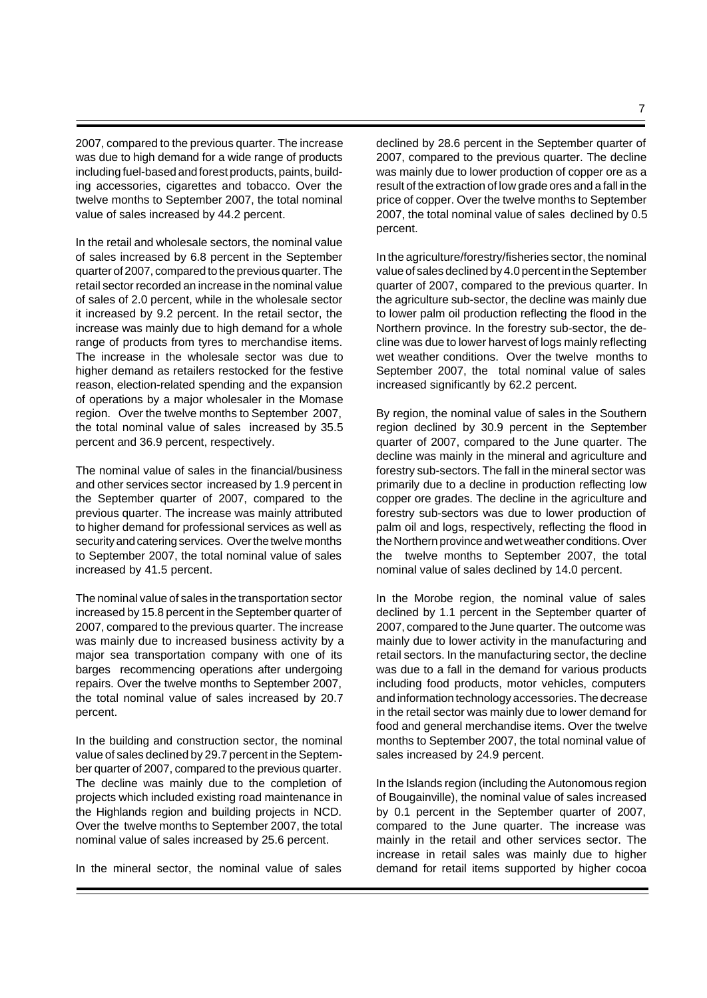2007, compared to the previous quarter. The increase was due to high demand for a wide range of products including fuel-based and forest products, paints, building accessories, cigarettes and tobacco. Over the twelve months to September 2007, the total nominal value of sales increased by 44.2 percent.

In the retail and wholesale sectors, the nominal value of sales increased by 6.8 percent in the September quarter of 2007, compared to the previous quarter. The retail sector recorded an increase in the nominal value of sales of 2.0 percent, while in the wholesale sector it increased by 9.2 percent. In the retail sector, the increase was mainly due to high demand for a whole range of products from tyres to merchandise items. The increase in the wholesale sector was due to higher demand as retailers restocked for the festive reason, election-related spending and the expansion of operations by a major wholesaler in the Momase region. Over the twelve months to September 2007, the total nominal value of sales increased by 35.5 percent and 36.9 percent, respectively.

The nominal value of sales in the financial/business and other services sector increased by 1.9 percent in the September quarter of 2007, compared to the previous quarter. The increase was mainly attributed to higher demand for professional services as well as security and catering services. Over the twelve months to September 2007, the total nominal value of sales increased by 41.5 percent.

The nominal value of sales in the transportation sector increased by 15.8 percent in the September quarter of 2007, compared to the previous quarter. The increase was mainly due to increased business activity by a major sea transportation company with one of its barges recommencing operations after undergoing repairs. Over the twelve months to September 2007, the total nominal value of sales increased by 20.7 percent.

In the building and construction sector, the nominal value of sales declined by 29.7 percent in the September quarter of 2007, compared to the previous quarter. The decline was mainly due to the completion of projects which included existing road maintenance in the Highlands region and building projects in NCD. Over the twelve months to September 2007, the total nominal value of sales increased by 25.6 percent.

In the mineral sector, the nominal value of sales

declined by 28.6 percent in the September quarter of 2007, compared to the previous quarter. The decline was mainly due to lower production of copper ore as a result of the extraction of low grade ores and a fall in the price of copper. Over the twelve months to September 2007, the total nominal value of sales declined by 0.5 percent.

In the agriculture/forestry/fisheries sector, the nominal value of sales declined by 4.0 percent in the September quarter of 2007, compared to the previous quarter. In the agriculture sub-sector, the decline was mainly due to lower palm oil production reflecting the flood in the Northern province. In the forestry sub-sector, the decline was due to lower harvest of logs mainly reflecting wet weather conditions. Over the twelve months to September 2007, the total nominal value of sales increased significantly by 62.2 percent.

By region, the nominal value of sales in the Southern region declined by 30.9 percent in the September quarter of 2007, compared to the June quarter. The decline was mainly in the mineral and agriculture and forestry sub-sectors. The fall in the mineral sector was primarily due to a decline in production reflecting low copper ore grades. The decline in the agriculture and forestry sub-sectors was due to lower production of palm oil and logs, respectively, reflecting the flood in the Northern province and wet weather conditions. Over the twelve months to September 2007, the total nominal value of sales declined by 14.0 percent.

In the Morobe region, the nominal value of sales declined by 1.1 percent in the September quarter of 2007, compared to the June quarter. The outcome was mainly due to lower activity in the manufacturing and retail sectors. In the manufacturing sector, the decline was due to a fall in the demand for various products including food products, motor vehicles, computers and information technology accessories. The decrease in the retail sector was mainly due to lower demand for food and general merchandise items. Over the twelve months to September 2007, the total nominal value of sales increased by 24.9 percent.

In the Islands region (including the Autonomous region of Bougainville), the nominal value of sales increased by 0.1 percent in the September quarter of 2007, compared to the June quarter. The increase was mainly in the retail and other services sector. The increase in retail sales was mainly due to higher demand for retail items supported by higher cocoa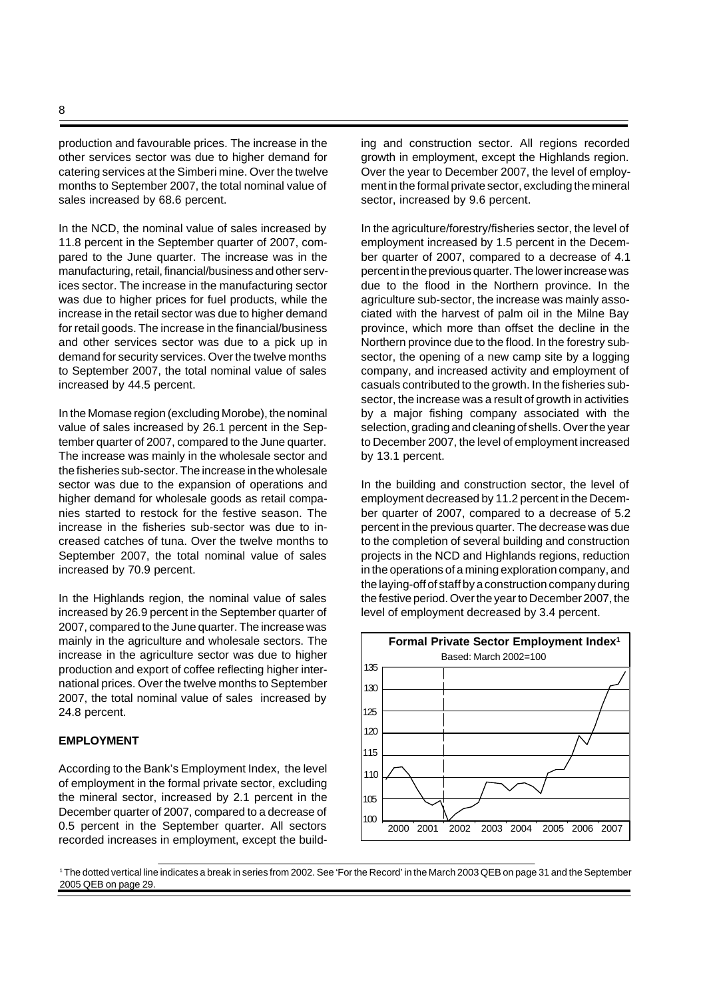production and favourable prices. The increase in the other services sector was due to higher demand for catering services at the Simberi mine. Over the twelve months to September 2007, the total nominal value of sales increased by 68.6 percent.

In the NCD, the nominal value of sales increased by 11.8 percent in the September quarter of 2007, compared to the June quarter. The increase was in the manufacturing, retail, financial/business and other services sector. The increase in the manufacturing sector was due to higher prices for fuel products, while the increase in the retail sector was due to higher demand for retail goods. The increase in the financial/business and other services sector was due to a pick up in demand for security services. Over the twelve months to September 2007, the total nominal value of sales increased by 44.5 percent.

In the Momase region (excluding Morobe), the nominal value of sales increased by 26.1 percent in the September quarter of 2007, compared to the June quarter. The increase was mainly in the wholesale sector and the fisheries sub-sector. The increase in the wholesale sector was due to the expansion of operations and higher demand for wholesale goods as retail companies started to restock for the festive season. The increase in the fisheries sub-sector was due to increased catches of tuna. Over the twelve months to September 2007, the total nominal value of sales increased by 70.9 percent.

In the Highlands region, the nominal value of sales increased by 26.9 percent in the September quarter of 2007, compared to the June quarter. The increase was mainly in the agriculture and wholesale sectors. The increase in the agriculture sector was due to higher production and export of coffee reflecting higher international prices. Over the twelve months to September 2007, the total nominal value of sales increased by 24.8 percent.

#### **EMPLOYMENT**

According to the Bank's Employment Index, the level of employment in the formal private sector, excluding the mineral sector, increased by 2.1 percent in the December quarter of 2007, compared to a decrease of 0.5 percent in the September quarter. All sectors recorded increases in employment, except the building and construction sector. All regions recorded growth in employment, except the Highlands region. Over the year to December 2007, the level of employment in the formal private sector, excluding the mineral sector, increased by 9.6 percent.

In the agriculture/forestry/fisheries sector, the level of employment increased by 1.5 percent in the December quarter of 2007, compared to a decrease of 4.1 percent in the previous quarter. The lower increase was due to the flood in the Northern province. In the agriculture sub-sector, the increase was mainly associated with the harvest of palm oil in the Milne Bay province, which more than offset the decline in the Northern province due to the flood. In the forestry subsector, the opening of a new camp site by a logging company, and increased activity and employment of casuals contributed to the growth. In the fisheries subsector, the increase was a result of growth in activities by a major fishing company associated with the selection, grading and cleaning of shells. Over the year to December 2007, the level of employment increased by 13.1 percent.

In the building and construction sector, the level of employment decreased by 11.2 percent in the December quarter of 2007, compared to a decrease of 5.2 percent in the previous quarter. The decrease was due to the completion of several building and construction projects in the NCD and Highlands regions, reduction in the operations of a mining exploration company, and the laying-off of staff by a construction company during the festive period. Over the year to December 2007, the level of employment decreased by 3.4 percent.



<sup>1</sup>The dotted vertical line indicates a break in series from 2002. See 'For the Record' in the March 2003 QEB on page 31 and the September 2005 QEB on page 29.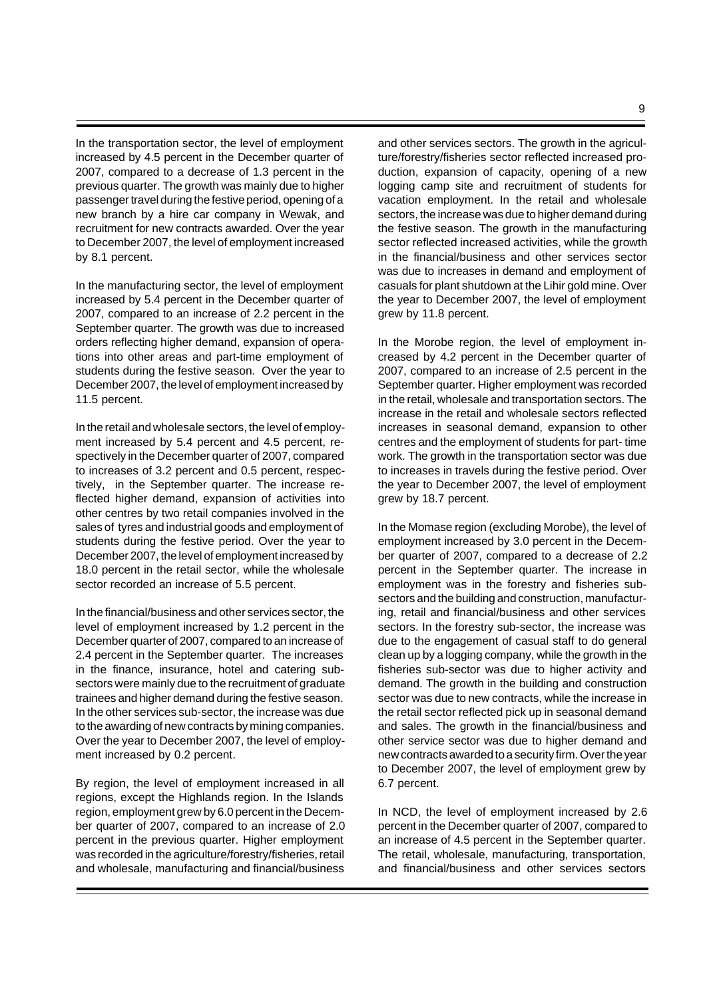In the transportation sector, the level of employment increased by 4.5 percent in the December quarter of 2007, compared to a decrease of 1.3 percent in the previous quarter. The growth was mainly due to higher passenger travel during the festive period, opening of a new branch by a hire car company in Wewak, and recruitment for new contracts awarded. Over the year to December 2007, the level of employment increased by 8.1 percent.

In the manufacturing sector, the level of employment increased by 5.4 percent in the December quarter of 2007, compared to an increase of 2.2 percent in the September quarter. The growth was due to increased orders reflecting higher demand, expansion of operations into other areas and part-time employment of students during the festive season. Over the year to December 2007, the level of employment increased by 11.5 percent.

In the retail and wholesale sectors, the level of employment increased by 5.4 percent and 4.5 percent, respectively in the December quarter of 2007, compared to increases of 3.2 percent and 0.5 percent, respectively, in the September quarter. The increase reflected higher demand, expansion of activities into other centres by two retail companies involved in the sales of tyres and industrial goods and employment of students during the festive period. Over the year to December 2007, the level of employment increased by 18.0 percent in the retail sector, while the wholesale sector recorded an increase of 5.5 percent.

In the financial/business and other services sector, the level of employment increased by 1.2 percent in the December quarter of 2007, compared to an increase of 2.4 percent in the September quarter. The increases in the finance, insurance, hotel and catering subsectors were mainly due to the recruitment of graduate trainees and higher demand during the festive season. In the other services sub-sector, the increase was due to the awarding of new contracts by mining companies. Over the year to December 2007, the level of employment increased by 0.2 percent.

By region, the level of employment increased in all regions, except the Highlands region. In the Islands region, employment grew by 6.0 percent in the December quarter of 2007, compared to an increase of 2.0 percent in the previous quarter. Higher employment was recorded in the agriculture/forestry/fisheries, retail and wholesale, manufacturing and financial/business

and other services sectors. The growth in the agriculture/forestry/fisheries sector reflected increased production, expansion of capacity, opening of a new logging camp site and recruitment of students for vacation employment. In the retail and wholesale sectors, the increase was due to higher demand during the festive season. The growth in the manufacturing sector reflected increased activities, while the growth in the financial/business and other services sector was due to increases in demand and employment of casuals for plant shutdown at the Lihir gold mine. Over the year to December 2007, the level of employment grew by 11.8 percent.

In the Morobe region, the level of employment increased by 4.2 percent in the December quarter of 2007, compared to an increase of 2.5 percent in the September quarter. Higher employment was recorded in the retail, wholesale and transportation sectors. The increase in the retail and wholesale sectors reflected increases in seasonal demand, expansion to other centres and the employment of students for part- time work. The growth in the transportation sector was due to increases in travels during the festive period. Over the year to December 2007, the level of employment grew by 18.7 percent.

In the Momase region (excluding Morobe), the level of employment increased by 3.0 percent in the December quarter of 2007, compared to a decrease of 2.2 percent in the September quarter. The increase in employment was in the forestry and fisheries subsectors and the building and construction, manufacturing, retail and financial/business and other services sectors. In the forestry sub-sector, the increase was due to the engagement of casual staff to do general clean up by a logging company, while the growth in the fisheries sub-sector was due to higher activity and demand. The growth in the building and construction sector was due to new contracts, while the increase in the retail sector reflected pick up in seasonal demand and sales. The growth in the financial/business and other service sector was due to higher demand and new contracts awarded to a security firm. Over the year to December 2007, the level of employment grew by 6.7 percent.

In NCD, the level of employment increased by 2.6 percent in the December quarter of 2007, compared to an increase of 4.5 percent in the September quarter. The retail, wholesale, manufacturing, transportation, and financial/business and other services sectors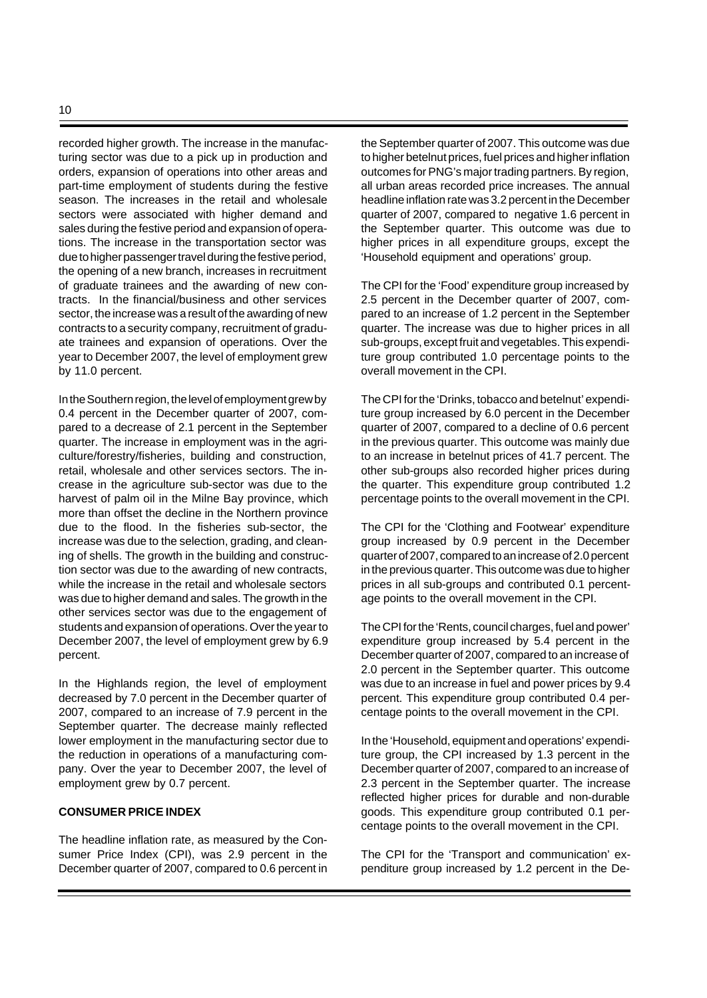recorded higher growth. The increase in the manufacturing sector was due to a pick up in production and orders, expansion of operations into other areas and part-time employment of students during the festive season. The increases in the retail and wholesale sectors were associated with higher demand and sales during the festive period and expansion of operations. The increase in the transportation sector was due to higher passenger travel during the festive period, the opening of a new branch, increases in recruitment of graduate trainees and the awarding of new contracts. In the financial/business and other services sector, the increase was a result of the awarding of new contracts to a security company, recruitment of graduate trainees and expansion of operations. Over the year to December 2007, the level of employment grew by 11.0 percent.

In the Southern region, the level of employment grew by 0.4 percent in the December quarter of 2007, compared to a decrease of 2.1 percent in the September quarter. The increase in employment was in the agriculture/forestry/fisheries, building and construction, retail, wholesale and other services sectors. The increase in the agriculture sub-sector was due to the harvest of palm oil in the Milne Bay province, which more than offset the decline in the Northern province due to the flood. In the fisheries sub-sector, the increase was due to the selection, grading, and cleaning of shells. The growth in the building and construction sector was due to the awarding of new contracts, while the increase in the retail and wholesale sectors was due to higher demand and sales. The growth in the other services sector was due to the engagement of students and expansion of operations. Over the year to December 2007, the level of employment grew by 6.9 percent.

In the Highlands region, the level of employment decreased by 7.0 percent in the December quarter of 2007, compared to an increase of 7.9 percent in the September quarter. The decrease mainly reflected lower employment in the manufacturing sector due to the reduction in operations of a manufacturing company. Over the year to December 2007, the level of employment grew by 0.7 percent.

### **CONSUMER PRICE INDEX**

The headline inflation rate, as measured by the Consumer Price Index (CPI), was 2.9 percent in the December quarter of 2007, compared to 0.6 percent in the September quarter of 2007. This outcome was due to higher betelnut prices, fuel prices and higher inflation outcomes for PNG's major trading partners. By region, all urban areas recorded price increases. The annual headline inflation rate was 3.2 percent in the December quarter of 2007, compared to negative 1.6 percent in the September quarter. This outcome was due to higher prices in all expenditure groups, except the 'Household equipment and operations' group.

The CPI for the 'Food' expenditure group increased by 2.5 percent in the December quarter of 2007, compared to an increase of 1.2 percent in the September quarter. The increase was due to higher prices in all sub-groups, except fruit and vegetables. This expenditure group contributed 1.0 percentage points to the overall movement in the CPI.

The CPI for the 'Drinks, tobacco and betelnut' expenditure group increased by 6.0 percent in the December quarter of 2007, compared to a decline of 0.6 percent in the previous quarter. This outcome was mainly due to an increase in betelnut prices of 41.7 percent. The other sub-groups also recorded higher prices during the quarter. This expenditure group contributed 1.2 percentage points to the overall movement in the CPI.

The CPI for the 'Clothing and Footwear' expenditure group increased by 0.9 percent in the December quarter of 2007, compared to an increase of 2.0 percent in the previous quarter. This outcome was due to higher prices in all sub-groups and contributed 0.1 percentage points to the overall movement in the CPI.

The CPI for the 'Rents, council charges, fuel and power' expenditure group increased by 5.4 percent in the December quarter of 2007, compared to an increase of 2.0 percent in the September quarter. This outcome was due to an increase in fuel and power prices by 9.4 percent. This expenditure group contributed 0.4 percentage points to the overall movement in the CPI.

In the 'Household, equipment and operations' expenditure group, the CPI increased by 1.3 percent in the December quarter of 2007, compared to an increase of 2.3 percent in the September quarter. The increase reflected higher prices for durable and non-durable goods. This expenditure group contributed 0.1 percentage points to the overall movement in the CPI.

The CPI for the 'Transport and communication' expenditure group increased by 1.2 percent in the De-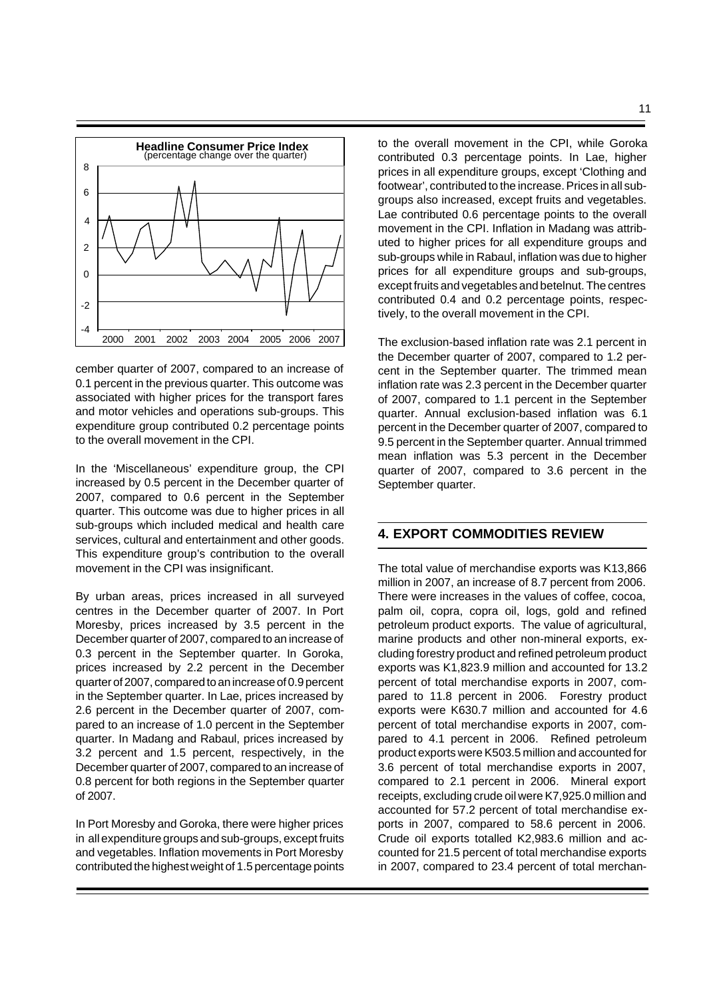

cember quarter of 2007, compared to an increase of 0.1 percent in the previous quarter. This outcome was associated with higher prices for the transport fares and motor vehicles and operations sub-groups. This expenditure group contributed 0.2 percentage points to the overall movement in the CPI.

In the 'Miscellaneous' expenditure group, the CPI increased by 0.5 percent in the December quarter of 2007, compared to 0.6 percent in the September quarter. This outcome was due to higher prices in all sub-groups which included medical and health care services, cultural and entertainment and other goods. This expenditure group's contribution to the overall movement in the CPI was insignificant.

By urban areas, prices increased in all surveyed centres in the December quarter of 2007. In Port Moresby, prices increased by 3.5 percent in the December quarter of 2007, compared to an increase of 0.3 percent in the September quarter. In Goroka, prices increased by 2.2 percent in the December quarter of 2007, compared to an increase of 0.9 percent in the September quarter. In Lae, prices increased by 2.6 percent in the December quarter of 2007, compared to an increase of 1.0 percent in the September quarter. In Madang and Rabaul, prices increased by 3.2 percent and 1.5 percent, respectively, in the December quarter of 2007, compared to an increase of 0.8 percent for both regions in the September quarter of 2007.

In Port Moresby and Goroka, there were higher prices in all expenditure groups and sub-groups, except fruits and vegetables. Inflation movements in Port Moresby contributed the highest weight of 1.5 percentage points to the overall movement in the CPI, while Goroka contributed 0.3 percentage points. In Lae, higher prices in all expenditure groups, except 'Clothing and footwear', contributed to the increase. Prices in all subgroups also increased, except fruits and vegetables. Lae contributed 0.6 percentage points to the overall movement in the CPI. Inflation in Madang was attributed to higher prices for all expenditure groups and sub-groups while in Rabaul, inflation was due to higher prices for all expenditure groups and sub-groups, except fruits and vegetables and betelnut. The centres contributed 0.4 and 0.2 percentage points, respectively, to the overall movement in the CPI.

The exclusion-based inflation rate was 2.1 percent in the December quarter of 2007, compared to 1.2 percent in the September quarter. The trimmed mean inflation rate was 2.3 percent in the December quarter of 2007, compared to 1.1 percent in the September quarter. Annual exclusion-based inflation was 6.1 percent in the December quarter of 2007, compared to 9.5 percent in the September quarter. Annual trimmed mean inflation was 5.3 percent in the December quarter of 2007, compared to 3.6 percent in the September quarter.

# **4. EXPORT COMMODITIES REVIEW**

The total value of merchandise exports was K13,866 million in 2007, an increase of 8.7 percent from 2006. There were increases in the values of coffee, cocoa, palm oil, copra, copra oil, logs, gold and refined petroleum product exports. The value of agricultural, marine products and other non-mineral exports, excluding forestry product and refined petroleum product exports was K1,823.9 million and accounted for 13.2 percent of total merchandise exports in 2007, compared to 11.8 percent in 2006. Forestry product exports were K630.7 million and accounted for 4.6 percent of total merchandise exports in 2007, compared to 4.1 percent in 2006. Refined petroleum product exports were K503.5 million and accounted for 3.6 percent of total merchandise exports in 2007, compared to 2.1 percent in 2006. Mineral export receipts, excluding crude oil were K7,925.0 million and accounted for 57.2 percent of total merchandise exports in 2007, compared to 58.6 percent in 2006. Crude oil exports totalled K2,983.6 million and accounted for 21.5 percent of total merchandise exports in 2007, compared to 23.4 percent of total merchan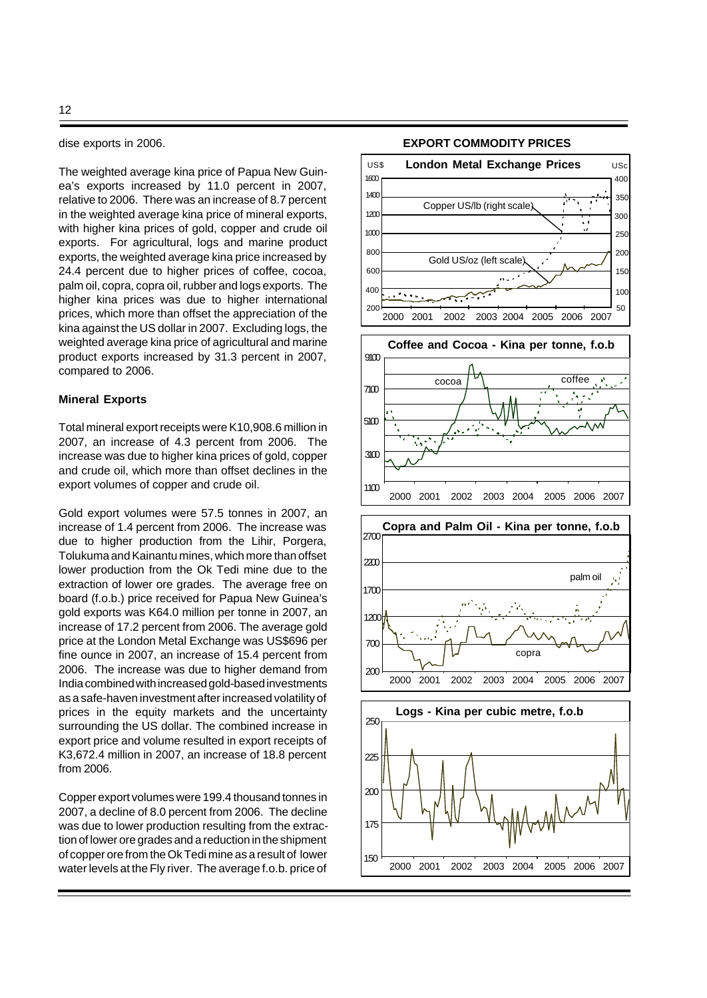dise exports in 2006.

The weighted average kina price of Papua New Guinea's exports increased by 11.0 percent in 2007, relative to 2006. There was an increase of 8.7 percent in the weighted average kina price of mineral exports, with higher kina prices of gold, copper and crude oil exports. For agricultural, logs and marine product exports, the weighted average kina price increased by 24.4 percent due to higher prices of coffee, cocoa, palm oil, copra, copra oil, rubber and logs exports. The higher kina prices was due to higher international prices, which more than offset the appreciation of the kina against the US dollar in 2007. Excluding logs, the weighted average kina price of agricultural and marine product exports increased by 31.3 percent in 2007, compared to 2006.

### **Mineral Exports**

Total mineral export receipts were K10,908.6 million in 2007, an increase of 4.3 percent from 2006. The increase was due to higher kina prices of gold, copper and crude oil, which more than offset declines in the export volumes of copper and crude oil.

Gold export volumes were 57.5 tonnes in 2007, an increase of 1.4 percent from 2006. The increase was due to higher production from the Lihir, Porgera, Tolukuma and Kainantu mines, which more than offset lower production from the Ok Tedi mine due to the extraction of lower ore grades. The average free on board (f.o.b.) price received for Papua New Guinea's gold exports was K64.0 million per tonne in 2007, an increase of 17.2 percent from 2006. The average gold price at the London Metal Exchange was US\$696 per fine ounce in 2007, an increase of 15.4 percent from 2006. The increase was due to higher demand from India combined with increased gold-based investments as a safe-haven investment after increased volatility of prices in the equity markets and the uncertainty surrounding the US dollar. The combined increase in export price and volume resulted in export receipts of K3,672.4 million in 2007, an increase of 18.8 percent from 2006.

Copper export volumes were 199.4 thousand tonnes in 2007, a decline of 8.0 percent from 2006. The decline was due to lower production resulting from the extraction of lower ore grades and a reduction in the shipment of copper ore from the Ok Tedi mine as a result of lower water levels at the Fly river. The average f.o.b. price of





#### **EXPORT COMMODITY PRICES**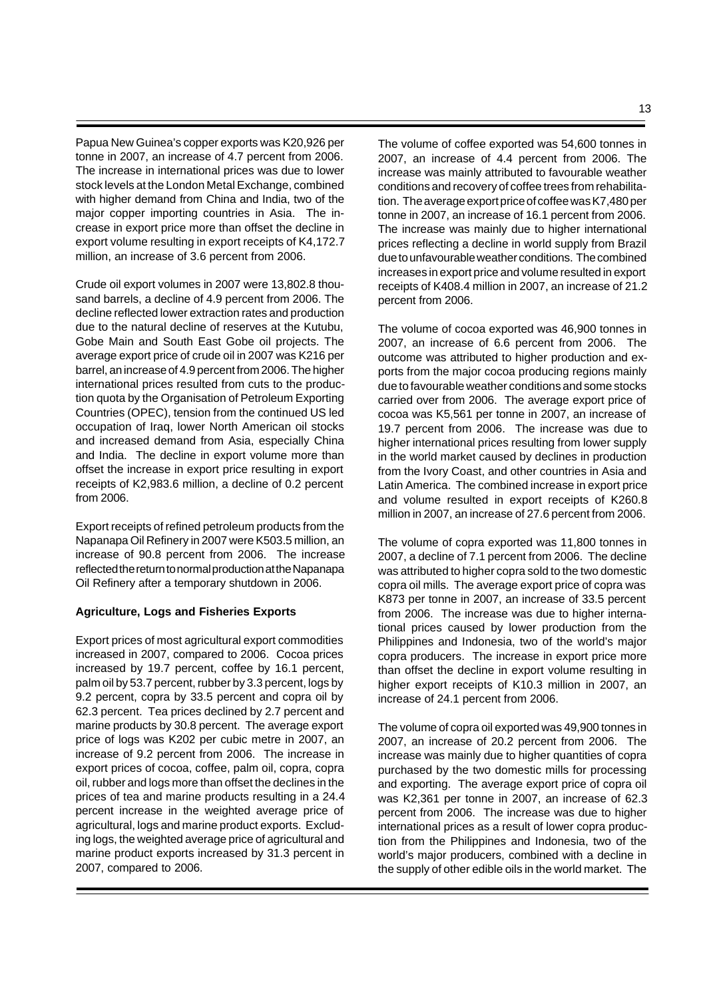Papua New Guinea's copper exports was K20,926 per tonne in 2007, an increase of 4.7 percent from 2006. The increase in international prices was due to lower stock levels at the London Metal Exchange, combined with higher demand from China and India, two of the major copper importing countries in Asia. The increase in export price more than offset the decline in export volume resulting in export receipts of K4,172.7 million, an increase of 3.6 percent from 2006.

Crude oil export volumes in 2007 were 13,802.8 thousand barrels, a decline of 4.9 percent from 2006. The decline reflected lower extraction rates and production due to the natural decline of reserves at the Kutubu, Gobe Main and South East Gobe oil projects. The average export price of crude oil in 2007 was K216 per barrel, an increase of 4.9 percent from 2006. The higher international prices resulted from cuts to the production quota by the Organisation of Petroleum Exporting Countries (OPEC), tension from the continued US led occupation of Iraq, lower North American oil stocks and increased demand from Asia, especially China and India. The decline in export volume more than offset the increase in export price resulting in export receipts of K2,983.6 million, a decline of 0.2 percent from 2006.

Export receipts of refined petroleum products from the Napanapa Oil Refinery in 2007 were K503.5 million, an increase of 90.8 percent from 2006. The increase reflected the return to normal production at the Napanapa Oil Refinery after a temporary shutdown in 2006.

### **Agriculture, Logs and Fisheries Exports**

Export prices of most agricultural export commodities increased in 2007, compared to 2006. Cocoa prices increased by 19.7 percent, coffee by 16.1 percent, palm oil by 53.7 percent, rubber by 3.3 percent, logs by 9.2 percent, copra by 33.5 percent and copra oil by 62.3 percent. Tea prices declined by 2.7 percent and marine products by 30.8 percent. The average export price of logs was K202 per cubic metre in 2007, an increase of 9.2 percent from 2006. The increase in export prices of cocoa, coffee, palm oil, copra, copra oil, rubber and logs more than offset the declines in the prices of tea and marine products resulting in a 24.4 percent increase in the weighted average price of agricultural, logs and marine product exports. Excluding logs, the weighted average price of agricultural and marine product exports increased by 31.3 percent in 2007, compared to 2006.

The volume of coffee exported was 54,600 tonnes in 2007, an increase of 4.4 percent from 2006. The increase was mainly attributed to favourable weather conditions and recovery of coffee trees from rehabilitation. The average export price of coffee was K7,480 per tonne in 2007, an increase of 16.1 percent from 2006. The increase was mainly due to higher international prices reflecting a decline in world supply from Brazil due to unfavourable weather conditions. The combined increases in export price and volume resulted in export receipts of K408.4 million in 2007, an increase of 21.2 percent from 2006.

The volume of cocoa exported was 46,900 tonnes in 2007, an increase of 6.6 percent from 2006. The outcome was attributed to higher production and exports from the major cocoa producing regions mainly due to favourable weather conditions and some stocks carried over from 2006. The average export price of cocoa was K5,561 per tonne in 2007, an increase of 19.7 percent from 2006. The increase was due to higher international prices resulting from lower supply in the world market caused by declines in production from the Ivory Coast, and other countries in Asia and Latin America. The combined increase in export price and volume resulted in export receipts of K260.8 million in 2007, an increase of 27.6 percent from 2006.

The volume of copra exported was 11,800 tonnes in 2007, a decline of 7.1 percent from 2006. The decline was attributed to higher copra sold to the two domestic copra oil mills. The average export price of copra was K873 per tonne in 2007, an increase of 33.5 percent from 2006. The increase was due to higher international prices caused by lower production from the Philippines and Indonesia, two of the world's major copra producers. The increase in export price more than offset the decline in export volume resulting in higher export receipts of K10.3 million in 2007, an increase of 24.1 percent from 2006.

The volume of copra oil exported was 49,900 tonnes in 2007, an increase of 20.2 percent from 2006. The increase was mainly due to higher quantities of copra purchased by the two domestic mills for processing and exporting. The average export price of copra oil was K2,361 per tonne in 2007, an increase of 62.3 percent from 2006. The increase was due to higher international prices as a result of lower copra production from the Philippines and Indonesia, two of the world's major producers, combined with a decline in the supply of other edible oils in the world market. The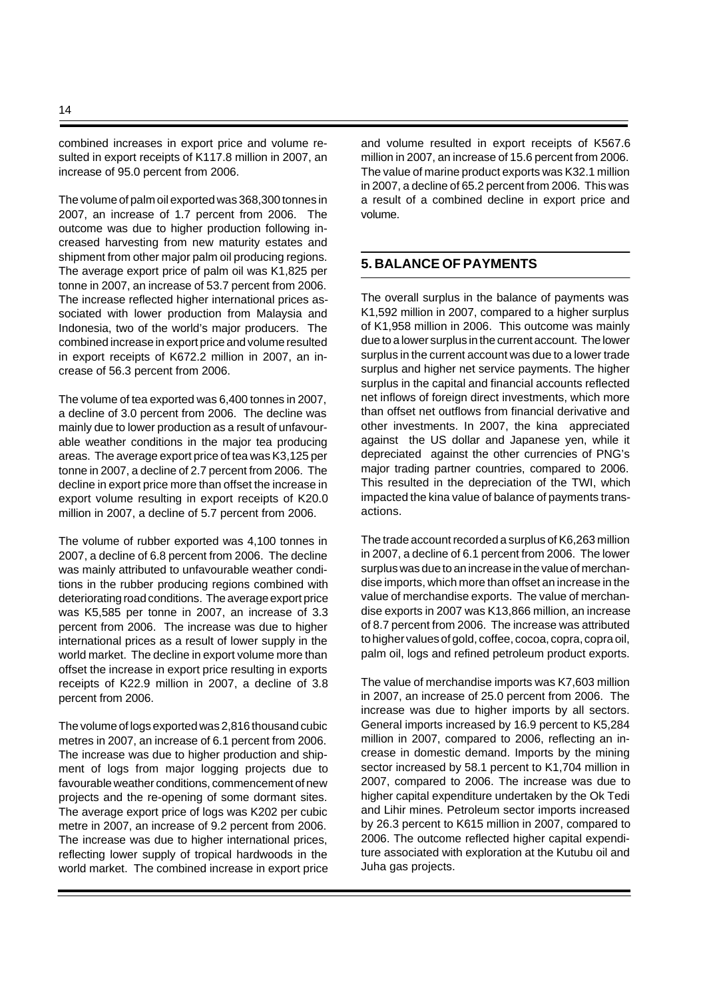combined increases in export price and volume resulted in export receipts of K117.8 million in 2007, an increase of 95.0 percent from 2006.

The volume of palm oil exported was 368,300 tonnes in 2007, an increase of 1.7 percent from 2006. The outcome was due to higher production following increased harvesting from new maturity estates and shipment from other major palm oil producing regions. The average export price of palm oil was K1,825 per tonne in 2007, an increase of 53.7 percent from 2006. The increase reflected higher international prices associated with lower production from Malaysia and Indonesia, two of the world's major producers. The combined increase in export price and volume resulted in export receipts of K672.2 million in 2007, an increase of 56.3 percent from 2006.

The volume of tea exported was 6,400 tonnes in 2007, a decline of 3.0 percent from 2006. The decline was mainly due to lower production as a result of unfavourable weather conditions in the major tea producing areas. The average export price of tea was K3,125 per tonne in 2007, a decline of 2.7 percent from 2006. The decline in export price more than offset the increase in export volume resulting in export receipts of K20.0 million in 2007, a decline of 5.7 percent from 2006.

The volume of rubber exported was 4,100 tonnes in 2007, a decline of 6.8 percent from 2006. The decline was mainly attributed to unfavourable weather conditions in the rubber producing regions combined with deteriorating road conditions. The average export price was K5,585 per tonne in 2007, an increase of 3.3 percent from 2006. The increase was due to higher international prices as a result of lower supply in the world market. The decline in export volume more than offset the increase in export price resulting in exports receipts of K22.9 million in 2007, a decline of 3.8 percent from 2006.

The volume of logs exported was 2,816 thousand cubic metres in 2007, an increase of 6.1 percent from 2006. The increase was due to higher production and shipment of logs from major logging projects due to favourable weather conditions, commencement of new projects and the re-opening of some dormant sites. The average export price of logs was K202 per cubic metre in 2007, an increase of 9.2 percent from 2006. The increase was due to higher international prices, reflecting lower supply of tropical hardwoods in the world market. The combined increase in export price

and volume resulted in export receipts of K567.6 million in 2007, an increase of 15.6 percent from 2006. The value of marine product exports was K32.1 million in 2007, a decline of 65.2 percent from 2006. This was a result of a combined decline in export price and volume.

# **5. BALANCE OF PAYMENTS**

The overall surplus in the balance of payments was K1,592 million in 2007, compared to a higher surplus of K1,958 million in 2006. This outcome was mainly due to a lower surplus in the current account. The lower surplus in the current account was due to a lower trade surplus and higher net service payments. The higher surplus in the capital and financial accounts reflected net inflows of foreign direct investments, which more than offset net outflows from financial derivative and other investments. In 2007, the kina appreciated against the US dollar and Japanese yen, while it depreciated against the other currencies of PNG's major trading partner countries, compared to 2006. This resulted in the depreciation of the TWI, which impacted the kina value of balance of payments transactions.

The trade account recorded a surplus of K6,263 million in 2007, a decline of 6.1 percent from 2006. The lower surplus was due to an increase in the value of merchandise imports, which more than offset an increase in the value of merchandise exports. The value of merchandise exports in 2007 was K13,866 million, an increase of 8.7 percent from 2006. The increase was attributed to higher values of gold, coffee, cocoa, copra, copra oil, palm oil, logs and refined petroleum product exports.

The value of merchandise imports was K7,603 million in 2007, an increase of 25.0 percent from 2006. The increase was due to higher imports by all sectors. General imports increased by 16.9 percent to K5,284 million in 2007, compared to 2006, reflecting an increase in domestic demand. Imports by the mining sector increased by 58.1 percent to K1,704 million in 2007, compared to 2006. The increase was due to higher capital expenditure undertaken by the Ok Tedi and Lihir mines. Petroleum sector imports increased by 26.3 percent to K615 million in 2007, compared to 2006. The outcome reflected higher capital expenditure associated with exploration at the Kutubu oil and Juha gas projects.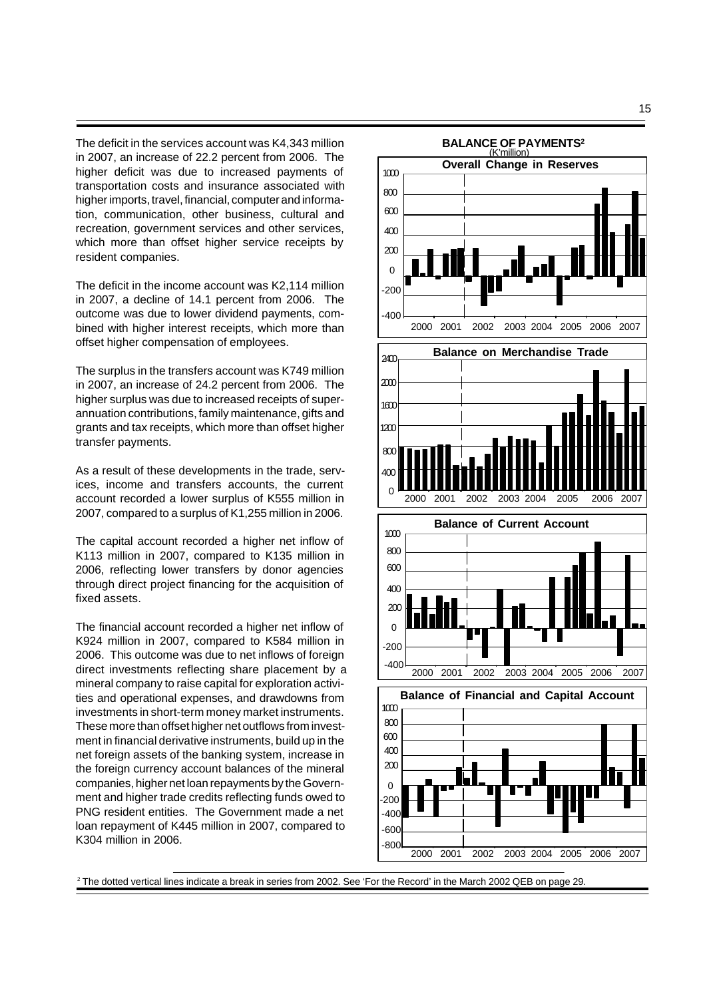The deficit in the services account was K4,343 million in 2007, an increase of 22.2 percent from 2006. The higher deficit was due to increased payments of transportation costs and insurance associated with higher imports, travel, financial, computer and information, communication, other business, cultural and recreation, government services and other services, which more than offset higher service receipts by resident companies.

The deficit in the income account was K2,114 million in 2007, a decline of 14.1 percent from 2006. The outcome was due to lower dividend payments, combined with higher interest receipts, which more than offset higher compensation of employees.

The surplus in the transfers account was K749 million in 2007, an increase of 24.2 percent from 2006. The higher surplus was due to increased receipts of superannuation contributions, family maintenance, gifts and grants and tax receipts, which more than offset higher transfer payments.

As a result of these developments in the trade, services, income and transfers accounts, the current account recorded a lower surplus of K555 million in 2007, compared to a surplus of K1,255 million in 2006.

The capital account recorded a higher net inflow of K113 million in 2007, compared to K135 million in 2006, reflecting lower transfers by donor agencies through direct project financing for the acquisition of fixed assets.

The financial account recorded a higher net inflow of K924 million in 2007, compared to K584 million in 2006. This outcome was due to net inflows of foreign direct investments reflecting share placement by a mineral company to raise capital for exploration activities and operational expenses, and drawdowns from investments in short-term money market instruments. These more than offset higher net outflows from investment in financial derivative instruments, build up in the net foreign assets of the banking system, increase in the foreign currency account balances of the mineral companies, higher net loan repayments by the Government and higher trade credits reflecting funds owed to PNG resident entities. The Government made a net loan repayment of K445 million in 2007, compared to K304 million in 2006.



2 The dotted vertical lines indicate a break in series from 2002. See 'For the Record' in the March 2002 QEB on page 29.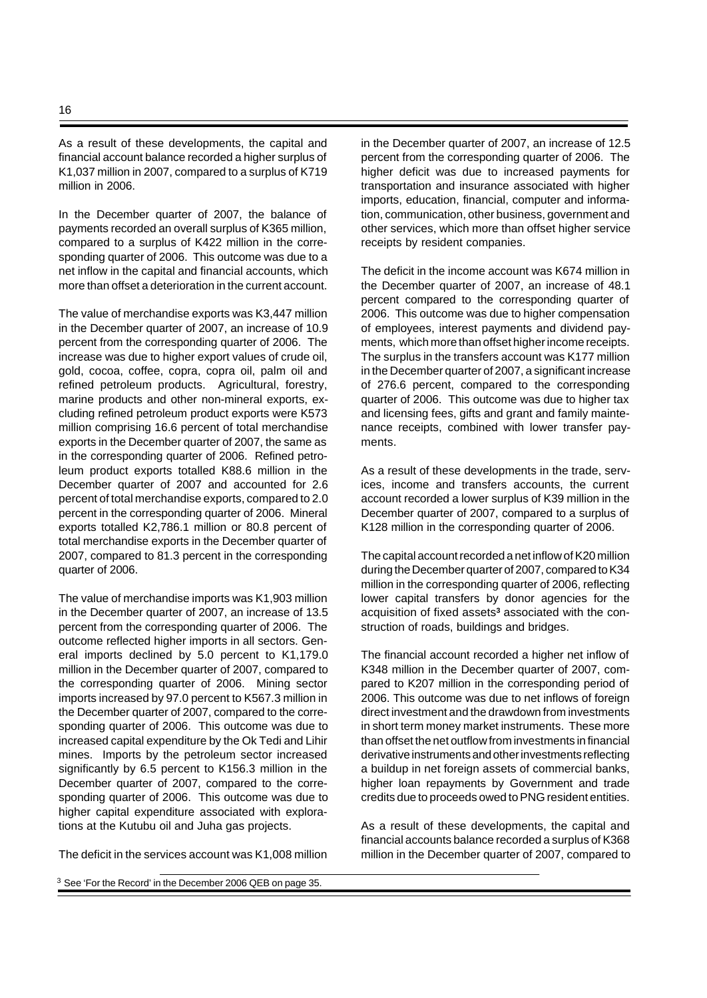As a result of these developments, the capital and financial account balance recorded a higher surplus of K1,037 million in 2007, compared to a surplus of K719 million in 2006.

In the December quarter of 2007, the balance of payments recorded an overall surplus of K365 million, compared to a surplus of K422 million in the corresponding quarter of 2006. This outcome was due to a net inflow in the capital and financial accounts, which more than offset a deterioration in the current account.

The value of merchandise exports was K3,447 million in the December quarter of 2007, an increase of 10.9 percent from the corresponding quarter of 2006. The increase was due to higher export values of crude oil, gold, cocoa, coffee, copra, copra oil, palm oil and refined petroleum products. Agricultural, forestry, marine products and other non-mineral exports, excluding refined petroleum product exports were K573 million comprising 16.6 percent of total merchandise exports in the December quarter of 2007, the same as in the corresponding quarter of 2006. Refined petroleum product exports totalled K88.6 million in the December quarter of 2007 and accounted for 2.6 percent of total merchandise exports, compared to 2.0 percent in the corresponding quarter of 2006. Mineral exports totalled K2,786.1 million or 80.8 percent of total merchandise exports in the December quarter of 2007, compared to 81.3 percent in the corresponding quarter of 2006.

The value of merchandise imports was K1,903 million in the December quarter of 2007, an increase of 13.5 percent from the corresponding quarter of 2006. The outcome reflected higher imports in all sectors. General imports declined by 5.0 percent to K1,179.0 million in the December quarter of 2007, compared to the corresponding quarter of 2006. Mining sector imports increased by 97.0 percent to K567.3 million in the December quarter of 2007, compared to the corresponding quarter of 2006. This outcome was due to increased capital expenditure by the Ok Tedi and Lihir mines. Imports by the petroleum sector increased significantly by 6.5 percent to K156.3 million in the December quarter of 2007, compared to the corresponding quarter of 2006. This outcome was due to higher capital expenditure associated with explorations at the Kutubu oil and Juha gas projects.

The deficit in the services account was K1,008 million

in the December quarter of 2007, an increase of 12.5 percent from the corresponding quarter of 2006. The higher deficit was due to increased payments for transportation and insurance associated with higher imports, education, financial, computer and information, communication, other business, government and other services, which more than offset higher service receipts by resident companies.

The deficit in the income account was K674 million in the December quarter of 2007, an increase of 48.1 percent compared to the corresponding quarter of 2006. This outcome was due to higher compensation of employees, interest payments and dividend payments, which more than offset higher income receipts. The surplus in the transfers account was K177 million in the December quarter of 2007, a significant increase of 276.6 percent, compared to the corresponding quarter of 2006. This outcome was due to higher tax and licensing fees, gifts and grant and family maintenance receipts, combined with lower transfer payments.

As a result of these developments in the trade, services, income and transfers accounts, the current account recorded a lower surplus of K39 million in the December quarter of 2007, compared to a surplus of K128 million in the corresponding quarter of 2006.

The capital account recorded a net inflow of K20 million during the December quarter of 2007, compared to K34 million in the corresponding quarter of 2006, reflecting lower capital transfers by donor agencies for the acquisition of fixed assets**<sup>3</sup>** associated with the construction of roads, buildings and bridges.

The financial account recorded a higher net inflow of K348 million in the December quarter of 2007, compared to K207 million in the corresponding period of 2006. This outcome was due to net inflows of foreign direct investment and the drawdown from investments in short term money market instruments. These more than offset the net outflow from investments in financial derivative instruments and other investments reflecting a buildup in net foreign assets of commercial banks, higher loan repayments by Government and trade credits due to proceeds owed to PNG resident entities.

As a result of these developments, the capital and financial accounts balance recorded a surplus of K368 million in the December quarter of 2007, compared to

<sup>3</sup> See 'For the Record' in the December 2006 QEB on page 35.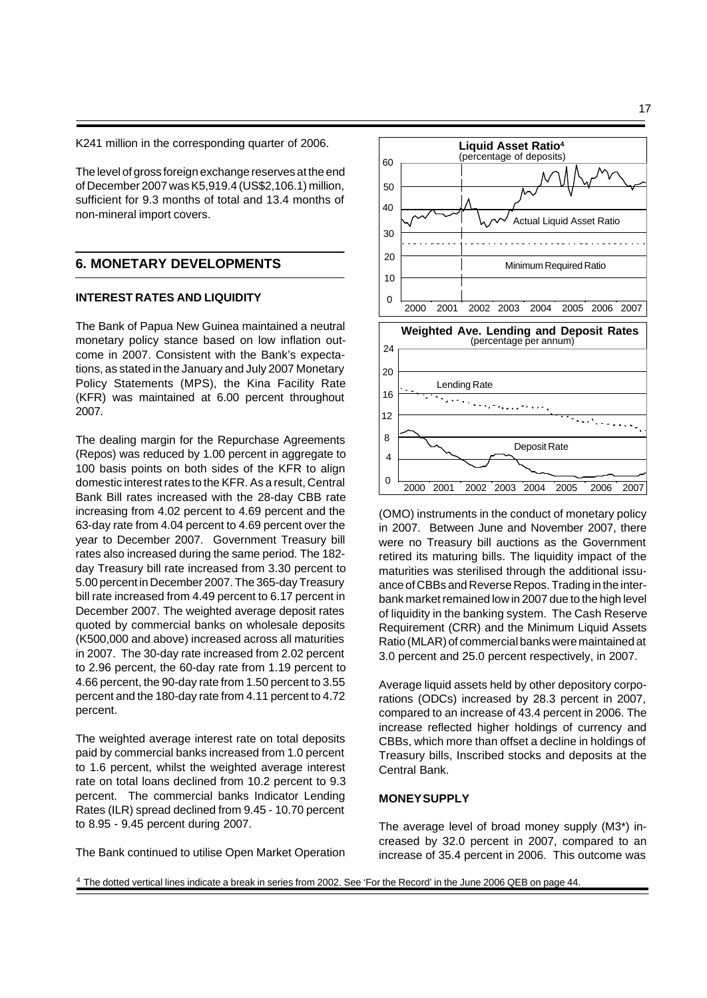K241 million in the corresponding quarter of 2006.

The level of gross foreign exchange reserves at the end of December 2007 was K5,919.4 (US\$2,106.1) million, sufficient for 9.3 months of total and 13.4 months of non-mineral import covers.

## **6. MONETARY DEVELOPMENTS**

### **INTEREST RATES AND LIQUIDITY**

The Bank of Papua New Guinea maintained a neutral monetary policy stance based on low inflation outcome in 2007. Consistent with the Bank's expectations, as stated in the January and July 2007 Monetary Policy Statements (MPS), the Kina Facility Rate (KFR) was maintained at 6.00 percent throughout 2007.

The dealing margin for the Repurchase Agreements (Repos) was reduced by 1.00 percent in aggregate to 100 basis points on both sides of the KFR to align domestic interest rates to the KFR. As a result, Central Bank Bill rates increased with the 28-day CBB rate increasing from 4.02 percent to 4.69 percent and the 63-day rate from 4.04 percent to 4.69 percent over the year to December 2007. Government Treasury bill rates also increased during the same period. The 182 day Treasury bill rate increased from 3.30 percent to 5.00 percent in December 2007. The 365-day Treasury bill rate increased from 4.49 percent to 6.17 percent in December 2007. The weighted average deposit rates quoted by commercial banks on wholesale deposits (K500,000 and above) increased across all maturities in 2007. The 30-day rate increased from 2.02 percent to 2.96 percent, the 60-day rate from 1.19 percent to 4.66 percent, the 90-day rate from 1.50 percent to 3.55 percent and the 180-day rate from 4.11 percent to 4.72 percent.

The weighted average interest rate on total deposits paid by commercial banks increased from 1.0 percent to 1.6 percent, whilst the weighted average interest rate on total loans declined from 10.2 percent to 9.3 percent. The commercial banks Indicator Lending Rates (ILR) spread declined from 9.45 - 10.70 percent to 8.95 - 9.45 percent during 2007.





(OMO) instruments in the conduct of monetary policy in 2007. Between June and November 2007, there were no Treasury bill auctions as the Government retired its maturing bills. The liquidity impact of the maturities was sterilised through the additional issuance of CBBs and Reverse Repos. Trading in the interbank market remained low in 2007 due to the high level of liquidity in the banking system. The Cash Reserve Requirement (CRR) and the Minimum Liquid Assets Ratio (MLAR) of commercial banks were maintained at 3.0 percent and 25.0 percent respectively, in 2007.

Average liquid assets held by other depository corporations (ODCs) increased by 28.3 percent in 2007, compared to an increase of 43.4 percent in 2006. The increase reflected higher holdings of currency and CBBs, which more than offset a decline in holdings of Treasury bills, Inscribed stocks and deposits at the Central Bank.

### **MONEY SUPPLY**

The average level of broad money supply (M3\*) increased by 32.0 percent in 2007, compared to an increase of 35.4 percent in 2006. This outcome was

<sup>4</sup> The dotted vertical lines indicate a break in series from 2002. See 'For the Record' in the June 2006 QEB on page 44.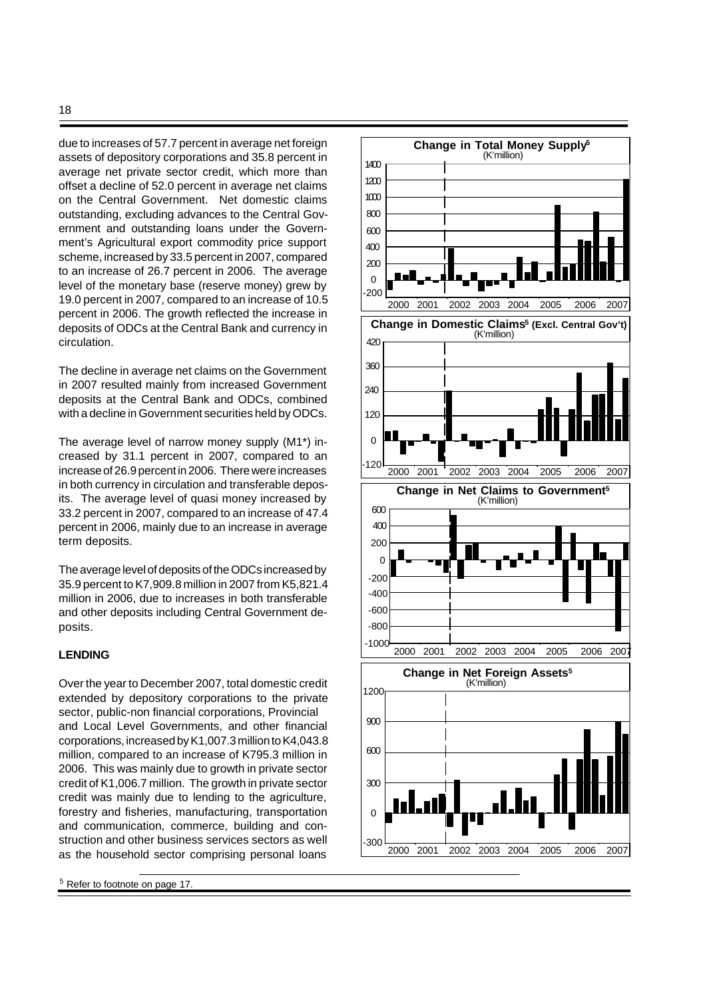due to increases of 57.7 percent in average net foreign assets of depository corporations and 35.8 percent in average net private sector credit, which more than offset a decline of 52.0 percent in average net claims on the Central Government. Net domestic claims outstanding, excluding advances to the Central Government and outstanding loans under the Government's Agricultural export commodity price support scheme, increased by 33.5 percent in 2007, compared to an increase of 26.7 percent in 2006. The average level of the monetary base (reserve money) grew by 19.0 percent in 2007, compared to an increase of 10.5 percent in 2006. The growth reflected the increase in deposits of ODCs at the Central Bank and currency in circulation.

The decline in average net claims on the Government in 2007 resulted mainly from increased Government deposits at the Central Bank and ODCs, combined with a decline in Government securities held by ODCs.

The average level of narrow money supply (M1\*) increased by 31.1 percent in 2007, compared to an increase of 26.9 percent in 2006. There were increases in both currency in circulation and transferable deposits. The average level of quasi money increased by 33.2 percent in 2007, compared to an increase of 47.4 percent in 2006, mainly due to an increase in average term deposits.

The average level of deposits of the ODCs increased by 35.9 percent to K7,909.8 million in 2007 from K5,821.4 million in 2006, due to increases in both transferable and other deposits including Central Government deposits.

### **LENDING**

Over the year to December 2007, total domestic credit extended by depository corporations to the private sector, public-non financial corporations, Provincial and Local Level Governments, and other financial corporations, increased by K1,007.3 million to K4,043.8 million, compared to an increase of K795.3 million in 2006. This was mainly due to growth in private sector credit of K1,006.7 million. The growth in private sector credit was mainly due to lending to the agriculture, forestry and fisheries, manufacturing, transportation and communication, commerce, building and construction and other business services sectors as well as the household sector comprising personal loans

<sup>5</sup> Refer to footnote on page 17.

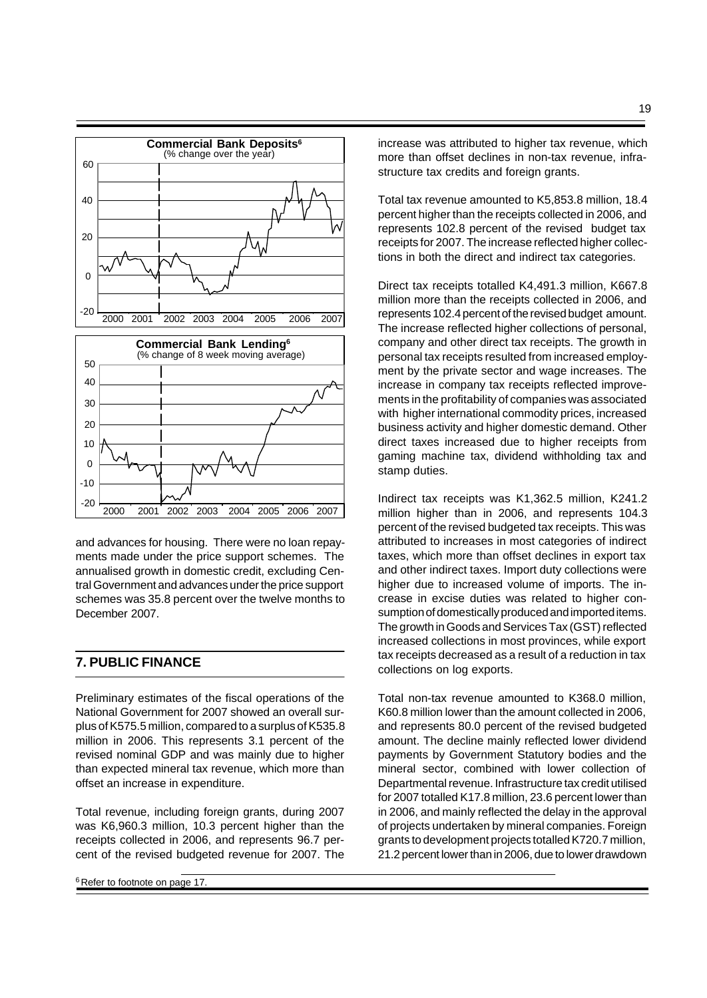

and advances for housing. There were no loan repayments made under the price support schemes. The annualised growth in domestic credit, excluding Central Government and advances under the price support schemes was 35.8 percent over the twelve months to December 2007.

# **7. PUBLIC FINANCE**

Preliminary estimates of the fiscal operations of the National Government for 2007 showed an overall surplus of K575.5 million, compared to a surplus of K535.8 million in 2006. This represents 3.1 percent of the revised nominal GDP and was mainly due to higher than expected mineral tax revenue, which more than offset an increase in expenditure.

Total revenue, including foreign grants, during 2007 was K6,960.3 million, 10.3 percent higher than the receipts collected in 2006, and represents 96.7 percent of the revised budgeted revenue for 2007. The

<sup>6</sup> Refer to footnote on page 17.

increase was attributed to higher tax revenue, which more than offset declines in non-tax revenue, infrastructure tax credits and foreign grants.

Total tax revenue amounted to K5,853.8 million, 18.4 percent higher than the receipts collected in 2006, and represents 102.8 percent of the revised budget tax receipts for 2007. The increase reflected higher collections in both the direct and indirect tax categories.

Direct tax receipts totalled K4,491.3 million, K667.8 million more than the receipts collected in 2006, and represents 102.4 percent of the revised budget amount. The increase reflected higher collections of personal, company and other direct tax receipts. The growth in personal tax receipts resulted from increased employment by the private sector and wage increases. The increase in company tax receipts reflected improvements in the profitability of companies was associated with higher international commodity prices, increased business activity and higher domestic demand. Other direct taxes increased due to higher receipts from gaming machine tax, dividend withholding tax and stamp duties.

Indirect tax receipts was K1,362.5 million, K241.2 million higher than in 2006, and represents 104.3 percent of the revised budgeted tax receipts. This was attributed to increases in most categories of indirect taxes, which more than offset declines in export tax and other indirect taxes. Import duty collections were higher due to increased volume of imports. The increase in excise duties was related to higher consumption of domestically produced and imported items. The growth in Goods and Services Tax (GST) reflected increased collections in most provinces, while export tax receipts decreased as a result of a reduction in tax collections on log exports.

Total non-tax revenue amounted to K368.0 million, K60.8 million lower than the amount collected in 2006, and represents 80.0 percent of the revised budgeted amount. The decline mainly reflected lower dividend payments by Government Statutory bodies and the mineral sector, combined with lower collection of Departmental revenue. Infrastructure tax credit utilised for 2007 totalled K17.8 million, 23.6 percent lower than in 2006, and mainly reflected the delay in the approval of projects undertaken by mineral companies. Foreign grants to development projects totalled K720.7 million, 21.2 percent lower than in 2006, due to lower drawdown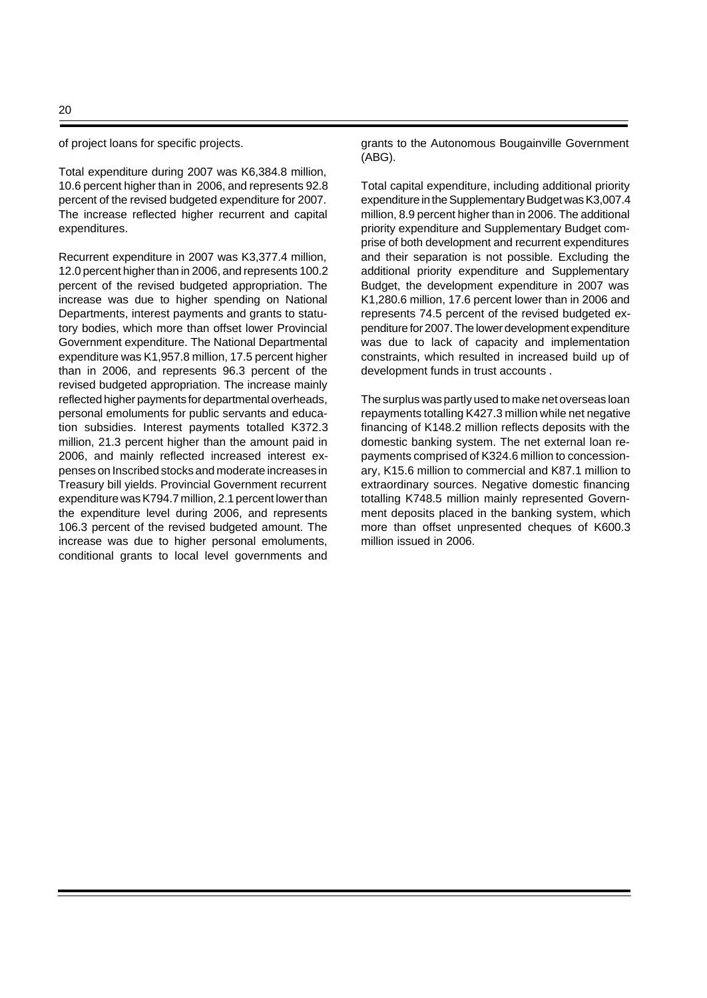of project loans for specific projects.

Total expenditure during 2007 was K6,384.8 million, 10.6 percent higher than in 2006, and represents 92.8 percent of the revised budgeted expenditure for 2007. The increase reflected higher recurrent and capital expenditures.

Recurrent expenditure in 2007 was K3,377.4 million, 12.0 percent higher than in 2006, and represents 100.2 percent of the revised budgeted appropriation. The increase was due to higher spending on National Departments, interest payments and grants to statutory bodies, which more than offset lower Provincial Government expenditure. The National Departmental expenditure was K1,957.8 million, 17.5 percent higher than in 2006, and represents 96.3 percent of the revised budgeted appropriation. The increase mainly reflected higher payments for departmental overheads, personal emoluments for public servants and education subsidies. Interest payments totalled K372.3 million, 21.3 percent higher than the amount paid in 2006, and mainly reflected increased interest expenses on Inscribed stocks and moderate increases in Treasury bill yields. Provincial Government recurrent expenditure was K794.7 million, 2.1 percent lower than the expenditure level during 2006, and represents 106.3 percent of the revised budgeted amount. The increase was due to higher personal emoluments, conditional grants to local level governments and grants to the Autonomous Bougainville Government (ABG).

Total capital expenditure, including additional priority expenditure in the Supplementary Budget was K3,007.4 million, 8.9 percent higher than in 2006. The additional priority expenditure and Supplementary Budget comprise of both development and recurrent expenditures and their separation is not possible. Excluding the additional priority expenditure and Supplementary Budget, the development expenditure in 2007 was K1,280.6 million, 17.6 percent lower than in 2006 and represents 74.5 percent of the revised budgeted expenditure for 2007. The lower development expenditure was due to lack of capacity and implementation constraints, which resulted in increased build up of development funds in trust accounts .

The surplus was partly used to make net overseas loan repayments totalling K427.3 million while net negative financing of K148.2 million reflects deposits with the domestic banking system. The net external loan repayments comprised of K324.6 million to concessionary, K15.6 million to commercial and K87.1 million to extraordinary sources. Negative domestic financing totalling K748.5 million mainly represented Government deposits placed in the banking system, which more than offset unpresented cheques of K600.3 million issued in 2006.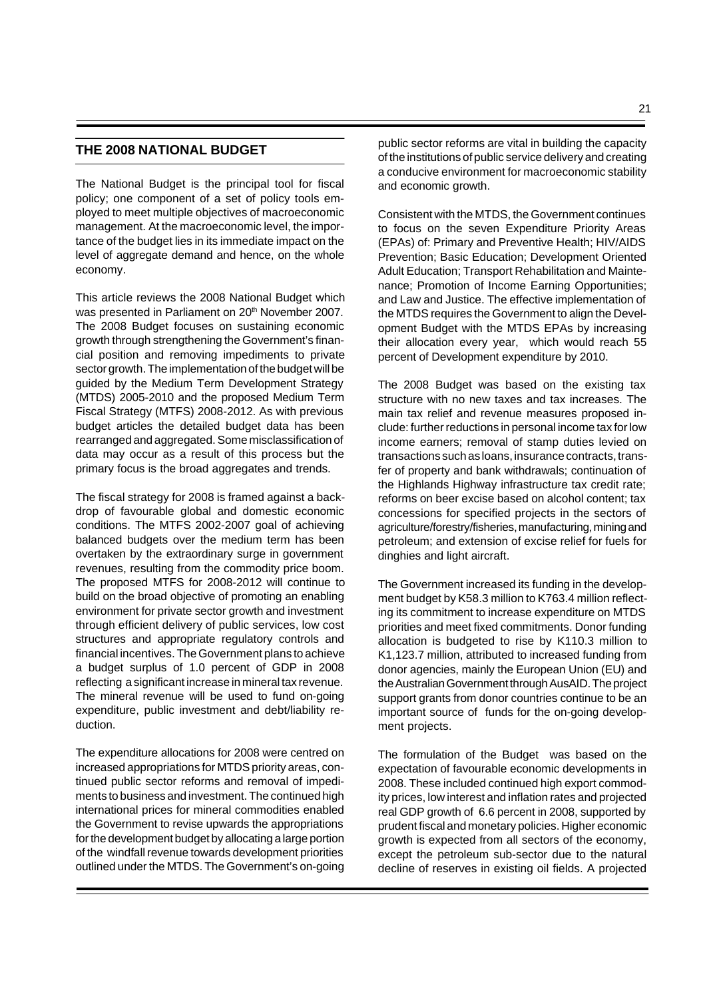# **THE 2008 NATIONAL BUDGET**

The National Budget is the principal tool for fiscal policy; one component of a set of policy tools employed to meet multiple objectives of macroeconomic management. At the macroeconomic level, the importance of the budget lies in its immediate impact on the level of aggregate demand and hence, on the whole economy.

This article reviews the 2008 National Budget which was presented in Parliament on 20<sup>th</sup> November 2007. The 2008 Budget focuses on sustaining economic growth through strengthening the Government's financial position and removing impediments to private sector growth. The implementation of the budget will be guided by the Medium Term Development Strategy (MTDS) 2005-2010 and the proposed Medium Term Fiscal Strategy (MTFS) 2008-2012. As with previous budget articles the detailed budget data has been rearranged and aggregated. Some misclassification of data may occur as a result of this process but the primary focus is the broad aggregates and trends.

The fiscal strategy for 2008 is framed against a backdrop of favourable global and domestic economic conditions. The MTFS 2002-2007 goal of achieving balanced budgets over the medium term has been overtaken by the extraordinary surge in government revenues, resulting from the commodity price boom. The proposed MTFS for 2008-2012 will continue to build on the broad objective of promoting an enabling environment for private sector growth and investment through efficient delivery of public services, low cost structures and appropriate regulatory controls and financial incentives. The Government plans to achieve a budget surplus of 1.0 percent of GDP in 2008 reflecting a significant increase in mineral tax revenue. The mineral revenue will be used to fund on-going expenditure, public investment and debt/liability reduction.

The expenditure allocations for 2008 were centred on increased appropriations for MTDS priority areas, continued public sector reforms and removal of impediments to business and investment. The continued high international prices for mineral commodities enabled the Government to revise upwards the appropriations for the development budget by allocating a large portion of the windfall revenue towards development priorities outlined under the MTDS. The Government's on-going

public sector reforms are vital in building the capacity of the institutions of public service delivery and creating a conducive environment for macroeconomic stability and economic growth.

Consistent with the MTDS, the Government continues to focus on the seven Expenditure Priority Areas (EPAs) of: Primary and Preventive Health; HIV/AIDS Prevention; Basic Education; Development Oriented Adult Education; Transport Rehabilitation and Maintenance; Promotion of Income Earning Opportunities; and Law and Justice. The effective implementation of the MTDS requires the Government to align the Development Budget with the MTDS EPAs by increasing their allocation every year, which would reach 55 percent of Development expenditure by 2010.

The 2008 Budget was based on the existing tax structure with no new taxes and tax increases. The main tax relief and revenue measures proposed include: further reductions in personal income tax for low income earners; removal of stamp duties levied on transactions such as loans, insurance contracts, transfer of property and bank withdrawals; continuation of the Highlands Highway infrastructure tax credit rate; reforms on beer excise based on alcohol content; tax concessions for specified projects in the sectors of agriculture/forestry/fisheries, manufacturing, mining and petroleum; and extension of excise relief for fuels for dinghies and light aircraft.

The Government increased its funding in the development budget by K58.3 million to K763.4 million reflecting its commitment to increase expenditure on MTDS priorities and meet fixed commitments. Donor funding allocation is budgeted to rise by K110.3 million to K1,123.7 million, attributed to increased funding from donor agencies, mainly the European Union (EU) and the Australian Government through AusAID. The project support grants from donor countries continue to be an important source of funds for the on-going development projects.

The formulation of the Budget was based on the expectation of favourable economic developments in 2008. These included continued high export commodity prices, low interest and inflation rates and projected real GDP growth of 6.6 percent in 2008, supported by prudent fiscal and monetary policies. Higher economic growth is expected from all sectors of the economy, except the petroleum sub-sector due to the natural decline of reserves in existing oil fields. A projected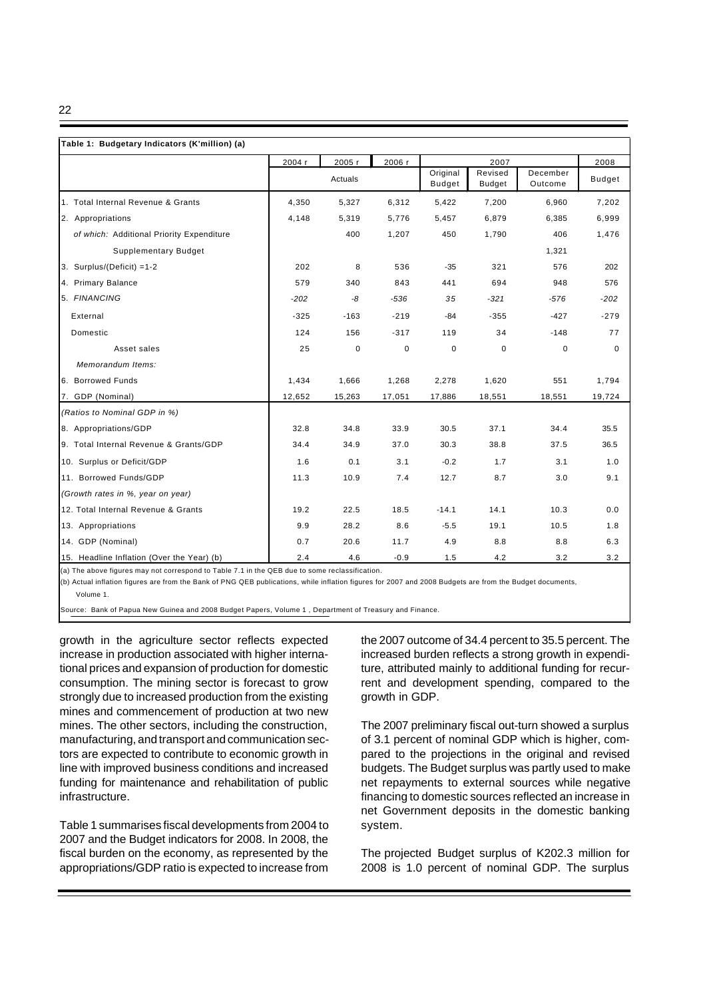22

| Table 1: Budgetary Indicators (K'million) (a) |        |         |             |                           |                          |                     |               |
|-----------------------------------------------|--------|---------|-------------|---------------------------|--------------------------|---------------------|---------------|
|                                               | 2004 r | 2005 r  | 2006 r      |                           | 2007                     |                     | 2008          |
|                                               |        | Actuals |             | Original<br><b>Budget</b> | Revised<br><b>Budget</b> | December<br>Outcome | <b>Budget</b> |
| 1. Total Internal Revenue & Grants            | 4,350  | 5,327   | 6,312       | 5,422                     | 7,200                    | 6,960               | 7,202         |
| 2. Appropriations                             | 4,148  | 5,319   | 5,776       | 5,457                     | 6,879                    | 6,385               | 6,999         |
| of which: Additional Priority Expenditure     |        | 400     | 1,207       | 450                       | 1,790                    | 406                 | 1,476         |
| <b>Supplementary Budget</b>                   |        |         |             |                           |                          | 1,321               |               |
| 3. Surplus/(Deficit) =1-2                     | 202    | 8       | 536         | $-35$                     | 321                      | 576                 | 202           |
| 4. Primary Balance                            | 579    | 340     | 843         | 441                       | 694                      | 948                 | 576           |
| 5. FINANCING                                  | $-202$ | -8      | $-536$      | 35                        | $-321$                   | -576                | $-202$        |
| External                                      | $-325$ | $-163$  | $-219$      | -84                       | $-355$                   | $-427$              | $-279$        |
| Domestic                                      | 124    | 156     | $-317$      | 119                       | 34                       | $-148$              | 77            |
| Asset sales                                   | 25     | 0       | $\mathbf 0$ | 0                         | 0                        | 0                   | $\Omega$      |
| Memorandum Items:                             |        |         |             |                           |                          |                     |               |
| 6. Borrowed Funds                             | 1,434  | 1,666   | 1,268       | 2,278                     | 1,620                    | 551                 | 1,794         |
| 7. GDP (Nominal)                              | 12,652 | 15,263  | 17,051      | 17,886                    | 18,551                   | 18,551              | 19,724        |
| (Ratios to Nominal GDP in %)                  |        |         |             |                           |                          |                     |               |
| 8. Appropriations/GDP                         | 32.8   | 34.8    | 33.9        | 30.5                      | 37.1                     | 34.4                | 35.5          |
| 9. Total Internal Revenue & Grants/GDP        | 34.4   | 34.9    | 37.0        | 30.3                      | 38.8                     | 37.5                | 36.5          |
| 10. Surplus or Deficit/GDP                    | 1.6    | 0.1     | 3.1         | $-0.2$                    | 1.7                      | 3.1                 | 1.0           |
| 11. Borrowed Funds/GDP                        | 11.3   | 10.9    | 7.4         | 12.7                      | 8.7                      | 3.0                 | 9.1           |
| (Growth rates in %, year on year)             |        |         |             |                           |                          |                     |               |
| 12. Total Internal Revenue & Grants           | 19.2   | 22.5    | 18.5        | $-14.1$                   | 14.1                     | 10.3                | 0.0           |
| 13. Appropriations                            | 9.9    | 28.2    | 8.6         | $-5.5$                    | 19.1                     | 10.5                | 1.8           |
| 14. GDP (Nominal)                             | 0.7    | 20.6    | 11.7        | 4.9                       | 8.8                      | 8.8                 | 6.3           |
| 15. Headline Inflation (Over the Year) (b)    | 2.4    | 4.6     | $-0.9$      | 1.5                       | 4.2                      | 3.2                 | 3.2           |

(a) The above figures may not correspond to Table 7.1 in the QEB due to some reclassification.

(b) Actual inflation figures are from the Bank of PNG QEB publications, while inflation figures for 2007 and 2008 Budgets are from the Budget documents,

Volume 1.

Source: Bank of Papua New Guinea and 2008 Budget Papers, Volume 1 , Department of Treasury and Finance.

growth in the agriculture sector reflects expected increase in production associated with higher international prices and expansion of production for domestic consumption. The mining sector is forecast to grow strongly due to increased production from the existing mines and commencement of production at two new mines. The other sectors, including the construction, manufacturing, and transport and communication sectors are expected to contribute to economic growth in line with improved business conditions and increased funding for maintenance and rehabilitation of public infrastructure.

Table 1 summarises fiscal developments from 2004 to 2007 and the Budget indicators for 2008. In 2008, the fiscal burden on the economy, as represented by the appropriations/GDP ratio is expected to increase from the 2007 outcome of 34.4 percent to 35.5 percent. The increased burden reflects a strong growth in expenditure, attributed mainly to additional funding for recurrent and development spending, compared to the growth in GDP.

The 2007 preliminary fiscal out-turn showed a surplus of 3.1 percent of nominal GDP which is higher, compared to the projections in the original and revised budgets. The Budget surplus was partly used to make net repayments to external sources while negative financing to domestic sources reflected an increase in net Government deposits in the domestic banking system.

The projected Budget surplus of K202.3 million for 2008 is 1.0 percent of nominal GDP. The surplus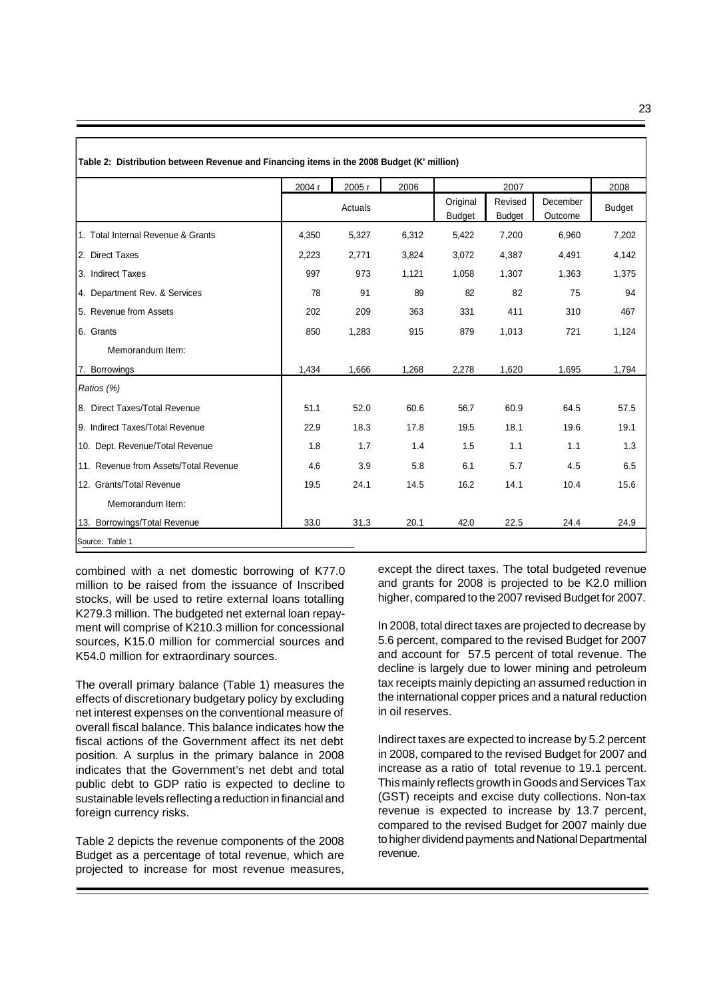| ×<br>I<br>۰, |         |
|--------------|---------|
|              | ۰.<br>× |
|              | w<br>v  |

|                                       | 2004 r | 2005 r  | 2006  |                           | 2007                     |                     | 2008          |
|---------------------------------------|--------|---------|-------|---------------------------|--------------------------|---------------------|---------------|
|                                       |        | Actuals |       | Original<br><b>Budget</b> | Revised<br><b>Budget</b> | December<br>Outcome | <b>Budget</b> |
| 1. Total Internal Revenue & Grants    | 4,350  | 5,327   | 6,312 | 5,422                     | 7,200                    | 6,960               | 7,202         |
| 2. Direct Taxes                       | 2,223  | 2,771   | 3,824 | 3,072                     | 4,387                    | 4,491               | 4,142         |
| 3. Indirect Taxes                     | 997    | 973     | 1,121 | 1,058                     | 1,307                    | 1,363               | 1,375         |
| 4. Department Rev. & Services         | 78     | 91      | 89    | 82                        | 82                       | 75                  | 94            |
| 5. Revenue from Assets                | 202    | 209     | 363   | 331                       | 411                      | 310                 | 467           |
| 6. Grants                             | 850    | 1,283   | 915   | 879                       | 1,013                    | 721                 | 1,124         |
| Memorandum Item:                      |        |         |       |                           |                          |                     |               |
| 7. Borrowings                         | 1,434  | 1,666   | 1,268 | 2,278                     | 1,620                    | 1,695               | 1,794         |
| Ratios (%)                            |        |         |       |                           |                          |                     |               |
| 8. Direct Taxes/Total Revenue         | 51.1   | 52.0    | 60.6  | 56.7                      | 60.9                     | 64.5                | 57.5          |
| 9. Indirect Taxes/Total Revenue       | 22.9   | 18.3    | 17.8  | 19.5                      | 18.1                     | 19.6                | 19.1          |
| 10. Dept. Revenue/Total Revenue       | 1.8    | 1.7     | 1.4   | 1.5                       | 1.1                      | 1.1                 | 1.3           |
| 11. Revenue from Assets/Total Revenue | 4.6    | 3.9     | 5.8   | 6.1                       | 5.7                      | 4.5                 | 6.5           |
| 12. Grants/Total Revenue              | 19.5   | 24.1    | 14.5  | 16.2                      | 14.1                     | 10.4                | 15.6          |
| Memorandum Item:                      |        |         |       |                           |                          |                     |               |
| 13. Borrowings/Total Revenue          | 33.0   | 31.3    | 20.1  | 42.0                      | 22.5                     | 24.4                | 24.9          |

combined with a net domestic borrowing of K77.0 million to be raised from the issuance of Inscribed stocks, will be used to retire external loans totalling K279.3 million. The budgeted net external loan repayment will comprise of K210.3 million for concessional sources, K15.0 million for commercial sources and K54.0 million for extraordinary sources.

The overall primary balance (Table 1) measures the effects of discretionary budgetary policy by excluding net interest expenses on the conventional measure of overall fiscal balance. This balance indicates how the fiscal actions of the Government affect its net debt position. A surplus in the primary balance in 2008 indicates that the Government's net debt and total public debt to GDP ratio is expected to decline to sustainable levels reflecting a reduction in financial and foreign currency risks.

Table 2 depicts the revenue components of the 2008 Budget as a percentage of total revenue, which are projected to increase for most revenue measures,

except the direct taxes. The total budgeted revenue and grants for 2008 is projected to be K2.0 million higher, compared to the 2007 revised Budget for 2007.

In 2008, total direct taxes are projected to decrease by 5.6 percent, compared to the revised Budget for 2007 and account for 57.5 percent of total revenue. The decline is largely due to lower mining and petroleum tax receipts mainly depicting an assumed reduction in the international copper prices and a natural reduction in oil reserves.

Indirect taxes are expected to increase by 5.2 percent in 2008, compared to the revised Budget for 2007 and increase as a ratio of total revenue to 19.1 percent. This mainly reflects growth in Goods and Services Tax (GST) receipts and excise duty collections. Non-tax revenue is expected to increase by 13.7 percent, compared to the revised Budget for 2007 mainly due to higher dividend payments and National Departmental revenue.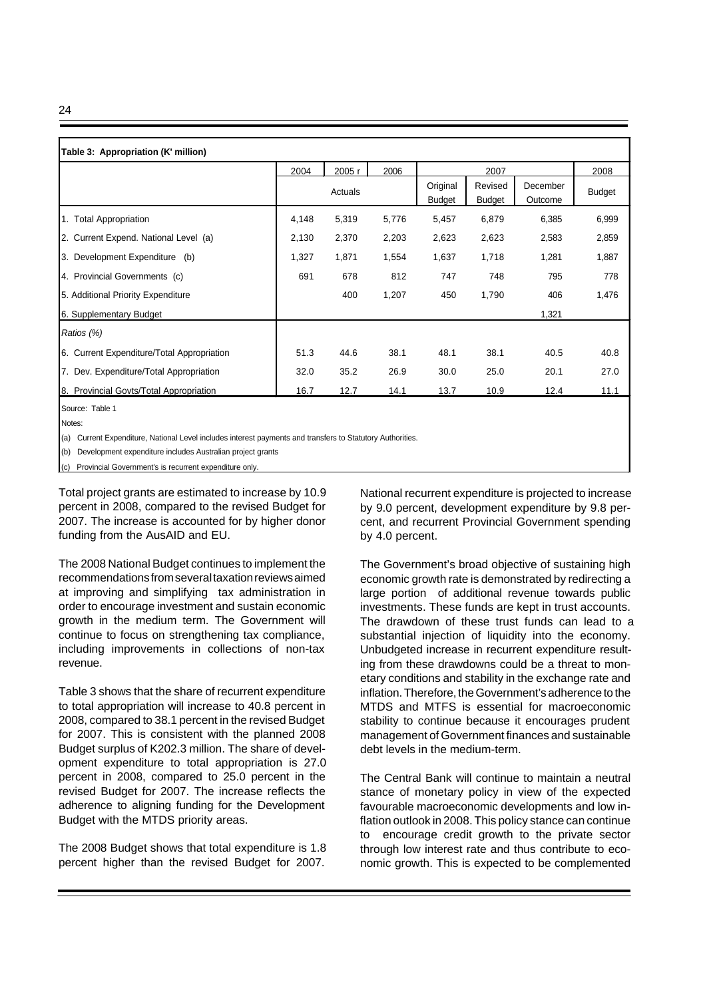| œ | I<br>ш |
|---|--------|
|   | ш      |

| Table 3: Appropriation (K' million)        |       |         |       |                           |                          |                     |               |
|--------------------------------------------|-------|---------|-------|---------------------------|--------------------------|---------------------|---------------|
|                                            | 2004  | 2005 r  | 2006  |                           | 2007                     |                     | 2008          |
|                                            |       | Actuals |       | Original<br><b>Budget</b> | Revised<br><b>Budget</b> | December<br>Outcome | <b>Budget</b> |
| 1. Total Appropriation                     | 4,148 | 5,319   | 5,776 | 5,457                     | 6,879                    | 6,385               | 6,999         |
| 2. Current Expend. National Level (a)      | 2,130 | 2,370   | 2,203 | 2,623                     | 2,623                    | 2,583               | 2,859         |
| 3. Development Expenditure (b)             | 1,327 | 1,871   | 1,554 | 1,637                     | 1,718                    | 1,281               | 1,887         |
| 4. Provincial Governments (c)              | 691   | 678     | 812   | 747                       | 748                      | 795                 | 778           |
| 5. Additional Priority Expenditure         |       | 400     | 1,207 | 450                       | 1,790                    | 406                 | 1,476         |
| 6. Supplementary Budget                    |       |         |       |                           |                          | 1,321               |               |
| Ratios (%)                                 |       |         |       |                           |                          |                     |               |
| 6. Current Expenditure/Total Appropriation | 51.3  | 44.6    | 38.1  | 48.1                      | 38.1                     | 40.5                | 40.8          |
| 7. Dev. Expenditure/Total Appropriation    | 32.0  | 35.2    | 26.9  | 30.0                      | 25.0                     | 20.1                | 27.0          |
| 8. Provincial Govts/Total Appropriation    | 16.7  | 12.7    | 14.1  | 13.7                      | 10.9                     | 12.4                | 11.1          |

Notes:

(a) Current Expenditure, National Level includes interest payments and transfers to Statutory Authorities.

(b) Development expenditure includes Australian project grants

(c) Provincial Government's is recurrent expenditure only.

Total project grants are estimated to increase by 10.9 percent in 2008, compared to the revised Budget for 2007. The increase is accounted for by higher donor funding from the AusAID and EU.

The 2008 National Budget continues to implement the recommendations from several taxation reviews aimed at improving and simplifying tax administration in order to encourage investment and sustain economic growth in the medium term. The Government will continue to focus on strengthening tax compliance, including improvements in collections of non-tax revenue.

Table 3 shows that the share of recurrent expenditure to total appropriation will increase to 40.8 percent in 2008, compared to 38.1 percent in the revised Budget for 2007. This is consistent with the planned 2008 Budget surplus of K202.3 million. The share of development expenditure to total appropriation is 27.0 percent in 2008, compared to 25.0 percent in the revised Budget for 2007. The increase reflects the adherence to aligning funding for the Development Budget with the MTDS priority areas.

The 2008 Budget shows that total expenditure is 1.8 percent higher than the revised Budget for 2007.

National recurrent expenditure is projected to increase by 9.0 percent, development expenditure by 9.8 percent, and recurrent Provincial Government spending by 4.0 percent.

The Government's broad objective of sustaining high economic growth rate is demonstrated by redirecting a large portion of additional revenue towards public investments. These funds are kept in trust accounts. The drawdown of these trust funds can lead to a substantial injection of liquidity into the economy. Unbudgeted increase in recurrent expenditure resulting from these drawdowns could be a threat to monetary conditions and stability in the exchange rate and inflation. Therefore, the Government's adherence to the MTDS and MTFS is essential for macroeconomic stability to continue because it encourages prudent management of Government finances and sustainable debt levels in the medium-term.

The Central Bank will continue to maintain a neutral stance of monetary policy in view of the expected favourable macroeconomic developments and low inflation outlook in 2008. This policy stance can continue to encourage credit growth to the private sector through low interest rate and thus contribute to economic growth. This is expected to be complemented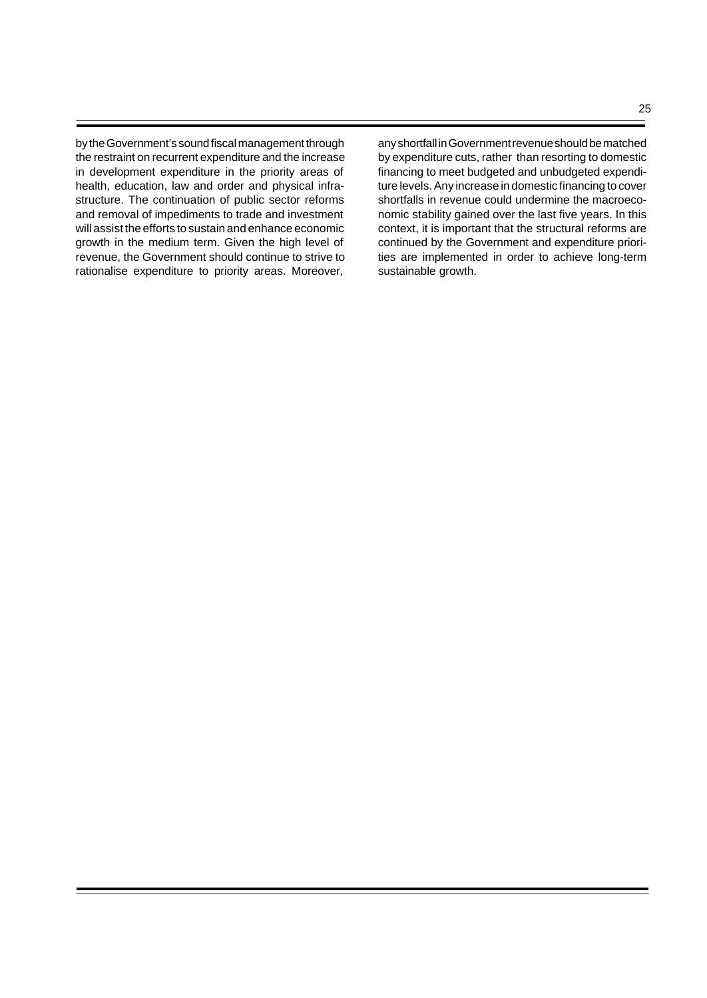by the Government's sound fiscal management through the restraint on recurrent expenditure and the increase in development expenditure in the priority areas of health, education, law and order and physical infrastructure. The continuation of public sector reforms and removal of impediments to trade and investment will assist the efforts to sustain and enhance economic growth in the medium term. Given the high level of revenue, the Government should continue to strive to rationalise expenditure to priority areas. Moreover, any shortfall in Government revenue should be matched by expenditure cuts, rather than resorting to domestic financing to meet budgeted and unbudgeted expenditure levels. Any increase in domestic financing to cover shortfalls in revenue could undermine the macroeconomic stability gained over the last five years. In this context, it is important that the structural reforms are continued by the Government and expenditure priorities are implemented in order to achieve long-term sustainable growth.